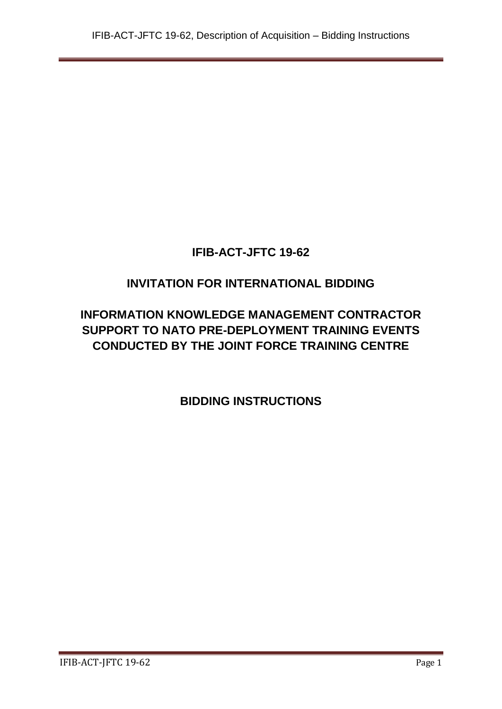# **IFIB-ACT-JFTC 19-62**

# **INVITATION FOR INTERNATIONAL BIDDING**

# **INFORMATION KNOWLEDGE MANAGEMENT CONTRACTOR SUPPORT TO NATO PRE-DEPLOYMENT TRAINING EVENTS CONDUCTED BY THE JOINT FORCE TRAINING CENTRE**

**BIDDING INSTRUCTIONS**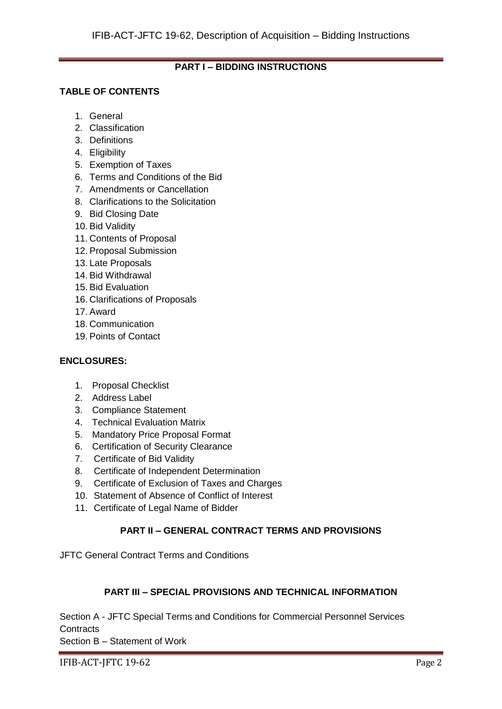## **PART I – BIDDING INSTRUCTIONS**

## **TABLE OF CONTENTS**

- 1. General
- 2. Classification
- 3. Definitions
- 4. Eligibility
- 5. Exemption of Taxes
- 6. Terms and Conditions of the Bid
- 7. Amendments or Cancellation
- 8. Clarifications to the Solicitation
- 9. Bid Closing Date
- 10. Bid Validity
- 11. Contents of Proposal
- 12. Proposal Submission
- 13. Late Proposals
- 14. Bid Withdrawal
- 15. Bid Evaluation
- 16. Clarifications of Proposals
- 17. Award
- 18. Communication
- 19. Points of Contact

#### **ENCLOSURES:**

- 1. Proposal Checklist
- 2. Address Label
- 3. Compliance Statement
- 4. Technical Evaluation Matrix
- 5. Mandatory Price Proposal Format
- 6. Certification of Security Clearance
- 7. Certificate of Bid Validity
- 8. Certificate of Independent Determination
- 9. Certificate of Exclusion of Taxes and Charges
- 10. Statement of Absence of Conflict of Interest
- 11. Certificate of Legal Name of Bidder

## **PART II – GENERAL CONTRACT TERMS AND PROVISIONS**

JFTC General Contract Terms and Conditions

#### **PART III – SPECIAL PROVISIONS AND TECHNICAL INFORMATION**

Section A - JFTC Special Terms and Conditions for Commercial Personnel Services **Contracts** 

Section B – Statement of Work

IFIB-ACT-JFTC 19-62 Page 2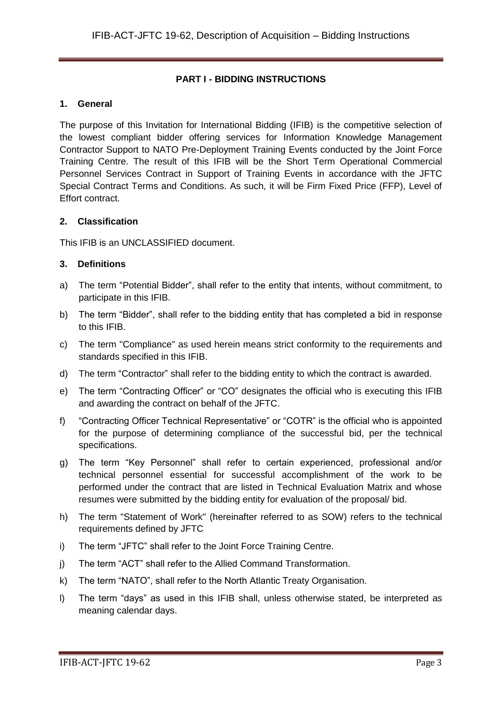## **PART I - BIDDING INSTRUCTIONS**

## **1. General**

The purpose of this Invitation for International Bidding (IFIB) is the competitive selection of the lowest compliant bidder offering services for Information Knowledge Management Contractor Support to NATO Pre-Deployment Training Events conducted by the Joint Force Training Centre. The result of this IFIB will be the Short Term Operational Commercial Personnel Services Contract in Support of Training Events in accordance with the JFTC Special Contract Terms and Conditions. As such, it will be Firm Fixed Price (FFP), Level of Effort contract.

## **2. Classification**

This IFIB is an UNCLASSIFIED document.

## **3. Definitions**

- a) The term "Potential Bidder", shall refer to the entity that intents, without commitment, to participate in this IFIB.
- b) The term "Bidder", shall refer to the bidding entity that has completed a bid in response to this IFIB.
- c) The term "Compliance" as used herein means strict conformity to the requirements and standards specified in this IFIB.
- d) The term "Contractor" shall refer to the bidding entity to which the contract is awarded.
- e) The term "Contracting Officer" or "CO" designates the official who is executing this IFIB and awarding the contract on behalf of the JFTC.
- f) "Contracting Officer Technical Representative" or "COTR" is the official who is appointed for the purpose of determining compliance of the successful bid, per the technical specifications.
- g) The term "Key Personnel" shall refer to certain experienced, professional and/or technical personnel essential for successful accomplishment of the work to be performed under the contract that are listed in Technical Evaluation Matrix and whose resumes were submitted by the bidding entity for evaluation of the proposal/ bid.
- h) The term "Statement of Work" (hereinafter referred to as SOW) refers to the technical requirements defined by JFTC
- i) The term "JFTC" shall refer to the Joint Force Training Centre.
- j) The term "ACT" shall refer to the Allied Command Transformation.
- k) The term "NATO", shall refer to the North Atlantic Treaty Organisation.
- l) The term "days" as used in this IFIB shall, unless otherwise stated, be interpreted as meaning calendar days.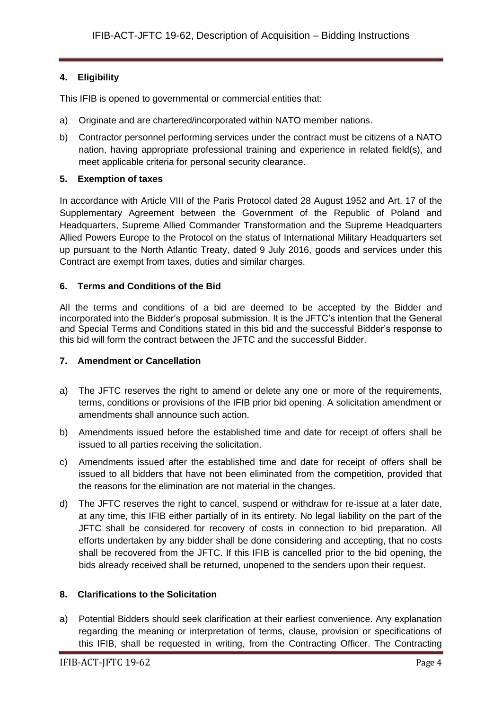## **4. Eligibility**

This IFIB is opened to governmental or commercial entities that:

- a) Originate and are chartered/incorporated within NATO member nations.
- b) Contractor personnel performing services under the contract must be citizens of a NATO nation, having appropriate professional training and experience in related field(s), and meet applicable criteria for personal security clearance.

## **5. Exemption of taxes**

In accordance with Article VIII of the Paris Protocol dated 28 August 1952 and Art. 17 of the Supplementary Agreement between the Government of the Republic of Poland and Headquarters, Supreme Allied Commander Transformation and the Supreme Headquarters Allied Powers Europe to the Protocol on the status of International Military Headquarters set up pursuant to the North Atlantic Treaty, dated 9 July 2016, goods and services under this Contract are exempt from taxes, duties and similar charges.

## **6. Terms and Conditions of the Bid**

All the terms and conditions of a bid are deemed to be accepted by the Bidder and incorporated into the Bidder's proposal submission. It is the JFTC's intention that the General and Special Terms and Conditions stated in this bid and the successful Bidder's response to this bid will form the contract between the JFTC and the successful Bidder.

#### **7. Amendment or Cancellation**

- a) The JFTC reserves the right to amend or delete any one or more of the requirements, terms, conditions or provisions of the IFIB prior bid opening. A solicitation amendment or amendments shall announce such action.
- b) Amendments issued before the established time and date for receipt of offers shall be issued to all parties receiving the solicitation.
- c) Amendments issued after the established time and date for receipt of offers shall be issued to all bidders that have not been eliminated from the competition, provided that the reasons for the elimination are not material in the changes.
- d) The JFTC reserves the right to cancel, suspend or withdraw for re-issue at a later date, at any time, this IFIB either partially of in its entirety. No legal liability on the part of the JFTC shall be considered for recovery of costs in connection to bid preparation. All efforts undertaken by any bidder shall be done considering and accepting, that no costs shall be recovered from the JFTC. If this IFIB is cancelled prior to the bid opening, the bids already received shall be returned, unopened to the senders upon their request.

#### **8. Clarifications to the Solicitation**

a) Potential Bidders should seek clarification at their earliest convenience. Any explanation regarding the meaning or interpretation of terms, clause, provision or specifications of this IFIB, shall be requested in writing, from the Contracting Officer. The Contracting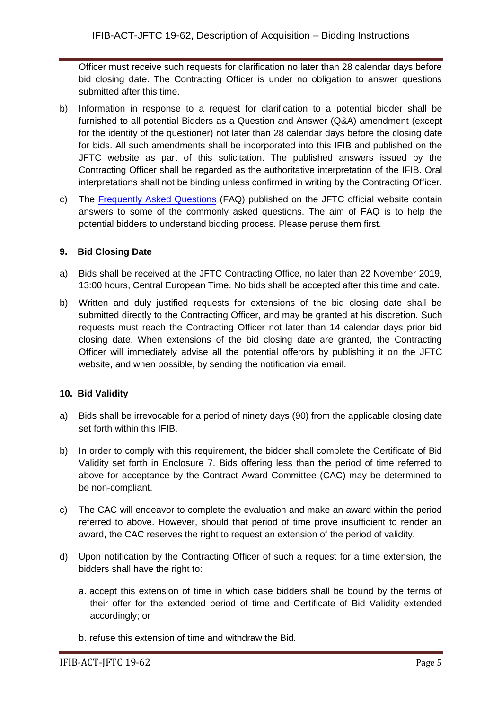Officer must receive such requests for clarification no later than 28 calendar days before bid closing date. The Contracting Officer is under no obligation to answer questions submitted after this time.

- b) Information in response to a request for clarification to a potential bidder shall be furnished to all potential Bidders as a Question and Answer (Q&A) amendment (except for the identity of the questioner) not later than 28 calendar days before the closing date for bids. All such amendments shall be incorporated into this IFIB and published on the JFTC website as part of this solicitation. The published answers issued by the Contracting Officer shall be regarded as the authoritative interpretation of the IFIB. Oral interpretations shall not be binding unless confirmed in writing by the Contracting Officer.
- c) The [Frequently Asked Questions](http://www.jftc.nato.int/organization/contracting) (FAQ) published on the JFTC official website contain answers to some of the commonly asked questions. The aim of FAQ is to help the potential bidders to understand bidding process. Please peruse them first.

## **9. Bid Closing Date**

- a) Bids shall be received at the JFTC Contracting Office, no later than 22 November 2019, 13:00 hours, Central European Time. No bids shall be accepted after this time and date.
- b) Written and duly justified requests for extensions of the bid closing date shall be submitted directly to the Contracting Officer, and may be granted at his discretion. Such requests must reach the Contracting Officer not later than 14 calendar days prior bid closing date. When extensions of the bid closing date are granted, the Contracting Officer will immediately advise all the potential offerors by publishing it on the JFTC website, and when possible, by sending the notification via email.

## **10. Bid Validity**

- a) Bids shall be irrevocable for a period of ninety days (90) from the applicable closing date set forth within this IFIB.
- b) In order to comply with this requirement, the bidder shall complete the Certificate of Bid Validity set forth in Enclosure 7. Bids offering less than the period of time referred to above for acceptance by the Contract Award Committee (CAC) may be determined to be non-compliant.
- c) The CAC will endeavor to complete the evaluation and make an award within the period referred to above. However, should that period of time prove insufficient to render an award, the CAC reserves the right to request an extension of the period of validity.
- d) Upon notification by the Contracting Officer of such a request for a time extension, the bidders shall have the right to:
	- a. accept this extension of time in which case bidders shall be bound by the terms of their offer for the extended period of time and Certificate of Bid Validity extended accordingly; or
	- b. refuse this extension of time and withdraw the Bid.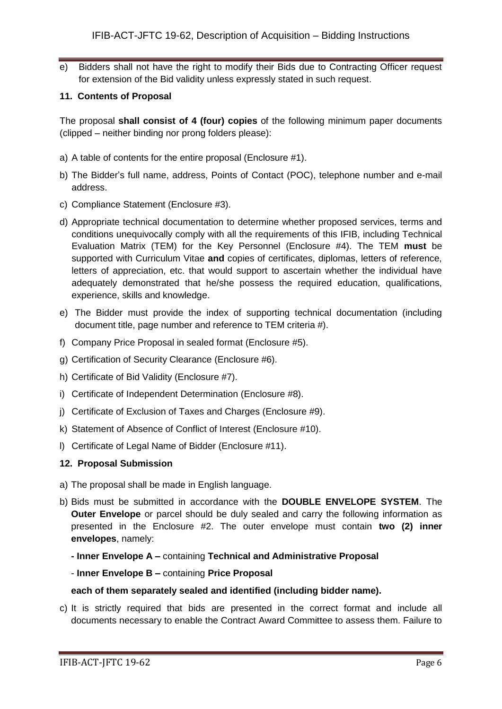e) Bidders shall not have the right to modify their Bids due to Contracting Officer request for extension of the Bid validity unless expressly stated in such request.

#### **11. Contents of Proposal**

The proposal **shall consist of 4 (four) copies** of the following minimum paper documents (clipped – neither binding nor prong folders please):

- a) A table of contents for the entire proposal (Enclosure #1).
- b) The Bidder's full name, address, Points of Contact (POC), telephone number and e-mail address.
- c) Compliance Statement (Enclosure #3).
- d) Appropriate technical documentation to determine whether proposed services, terms and conditions unequivocally comply with all the requirements of this IFIB, including Technical Evaluation Matrix (TEM) for the Key Personnel (Enclosure #4). The TEM **must** be supported with Curriculum Vitae **and** copies of certificates, diplomas, letters of reference, letters of appreciation, etc. that would support to ascertain whether the individual have adequately demonstrated that he/she possess the required education, qualifications, experience, skills and knowledge.
- e) The Bidder must provide the index of supporting technical documentation (including document title, page number and reference to TEM criteria #).
- f) Company Price Proposal in sealed format (Enclosure #5).
- g) Certification of Security Clearance (Enclosure #6).
- h) Certificate of Bid Validity (Enclosure #7).
- i) Certificate of Independent Determination (Enclosure #8).
- j) Certificate of Exclusion of Taxes and Charges (Enclosure #9).
- k) Statement of Absence of Conflict of Interest (Enclosure #10).
- l) Certificate of Legal Name of Bidder (Enclosure #11).

#### **12. Proposal Submission**

- a) The proposal shall be made in English language.
- b) Bids must be submitted in accordance with the **DOUBLE ENVELOPE SYSTEM**. The **Outer Envelope** or parcel should be duly sealed and carry the following information as presented in the Enclosure #2. The outer envelope must contain **two (2) inner envelopes**, namely:
	- **- Inner Envelope A –** containing **Technical and Administrative Proposal**
	- **Inner Envelope B –** containing **Price Proposal**

#### **each of them separately sealed and identified (including bidder name).**

c) It is strictly required that bids are presented in the correct format and include all documents necessary to enable the Contract Award Committee to assess them. Failure to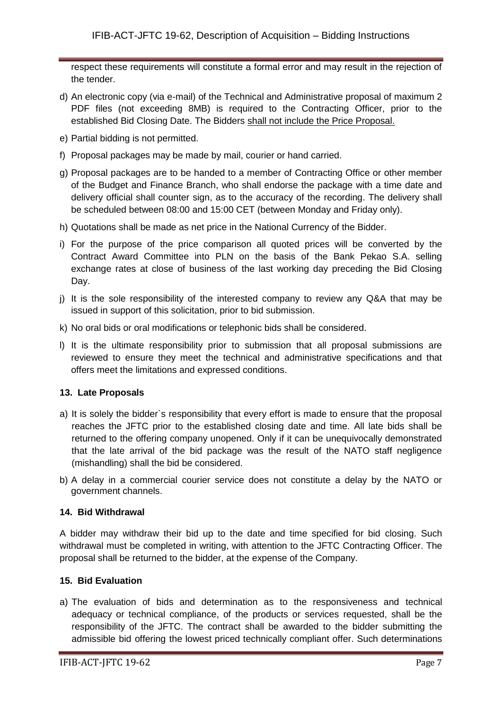respect these requirements will constitute a formal error and may result in the rejection of the tender.

- d) An electronic copy (via e-mail) of the Technical and Administrative proposal of maximum 2 PDF files (not exceeding 8MB) is required to the Contracting Officer, prior to the established Bid Closing Date. The Bidders shall not include the Price Proposal.
- e) Partial bidding is not permitted.
- f) Proposal packages may be made by mail, courier or hand carried.
- g) Proposal packages are to be handed to a member of Contracting Office or other member of the Budget and Finance Branch, who shall endorse the package with a time date and delivery official shall counter sign, as to the accuracy of the recording. The delivery shall be scheduled between 08:00 and 15:00 CET (between Monday and Friday only).
- h) Quotations shall be made as net price in the National Currency of the Bidder.
- i) For the purpose of the price comparison all quoted prices will be converted by the Contract Award Committee into PLN on the basis of the Bank Pekao S.A. selling exchange rates at close of business of the last working day preceding the Bid Closing Day.
- j) It is the sole responsibility of the interested company to review any Q&A that may be issued in support of this solicitation, prior to bid submission.
- k) No oral bids or oral modifications or telephonic bids shall be considered.
- l) It is the ultimate responsibility prior to submission that all proposal submissions are reviewed to ensure they meet the technical and administrative specifications and that offers meet the limitations and expressed conditions.

#### **13. Late Proposals**

- a) It is solely the bidder`s responsibility that every effort is made to ensure that the proposal reaches the JFTC prior to the established closing date and time. All late bids shall be returned to the offering company unopened. Only if it can be unequivocally demonstrated that the late arrival of the bid package was the result of the NATO staff negligence (mishandling) shall the bid be considered.
- b) A delay in a commercial courier service does not constitute a delay by the NATO or government channels.

## **14. Bid Withdrawal**

A bidder may withdraw their bid up to the date and time specified for bid closing. Such withdrawal must be completed in writing, with attention to the JFTC Contracting Officer. The proposal shall be returned to the bidder, at the expense of the Company.

## **15. Bid Evaluation**

a) The evaluation of bids and determination as to the responsiveness and technical adequacy or technical compliance, of the products or services requested, shall be the responsibility of the JFTC. The contract shall be awarded to the bidder submitting the admissible bid offering the lowest priced technically compliant offer. Such determinations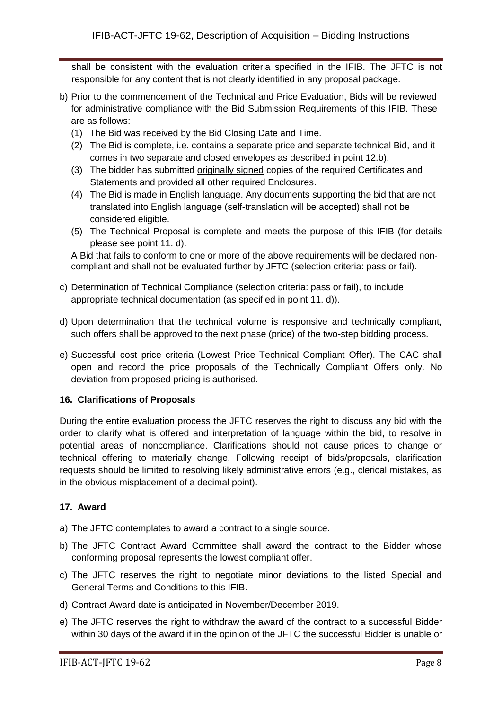shall be consistent with the evaluation criteria specified in the IFIB. The JFTC is not responsible for any content that is not clearly identified in any proposal package.

- b) Prior to the commencement of the Technical and Price Evaluation, Bids will be reviewed for administrative compliance with the Bid Submission Requirements of this IFIB. These are as follows:
	- (1) The Bid was received by the Bid Closing Date and Time.
	- (2) The Bid is complete, i.e. contains a separate price and separate technical Bid, and it comes in two separate and closed envelopes as described in point 12.b).
	- (3) The bidder has submitted originally signed copies of the required Certificates and Statements and provided all other required Enclosures.
	- (4) The Bid is made in English language. Any documents supporting the bid that are not translated into English language (self-translation will be accepted) shall not be considered eligible.
	- (5) The Technical Proposal is complete and meets the purpose of this IFIB (for details please see point 11. d).

A Bid that fails to conform to one or more of the above requirements will be declared noncompliant and shall not be evaluated further by JFTC (selection criteria: pass or fail).

- c) Determination of Technical Compliance (selection criteria: pass or fail), to include appropriate technical documentation (as specified in point 11. d)).
- d) Upon determination that the technical volume is responsive and technically compliant, such offers shall be approved to the next phase (price) of the two-step bidding process.
- e) Successful cost price criteria (Lowest Price Technical Compliant Offer). The CAC shall open and record the price proposals of the Technically Compliant Offers only. No deviation from proposed pricing is authorised.

## **16. Clarifications of Proposals**

During the entire evaluation process the JFTC reserves the right to discuss any bid with the order to clarify what is offered and interpretation of language within the bid, to resolve in potential areas of noncompliance. Clarifications should not cause prices to change or technical offering to materially change. Following receipt of bids/proposals, clarification requests should be limited to resolving likely administrative errors (e.g., clerical mistakes, as in the obvious misplacement of a decimal point).

## **17. Award**

- a) The JFTC contemplates to award a contract to a single source.
- b) The JFTC Contract Award Committee shall award the contract to the Bidder whose conforming proposal represents the lowest compliant offer.
- c) The JFTC reserves the right to negotiate minor deviations to the listed Special and General Terms and Conditions to this IFIB.
- d) Contract Award date is anticipated in November/December 2019.
- e) The JFTC reserves the right to withdraw the award of the contract to a successful Bidder within 30 days of the award if in the opinion of the JFTC the successful Bidder is unable or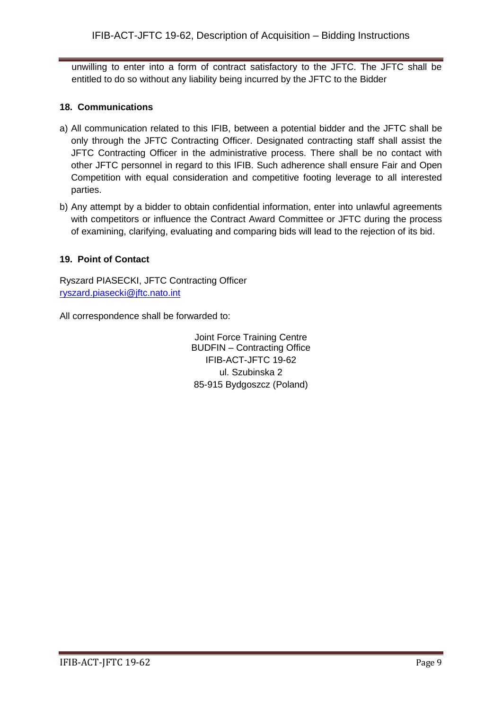unwilling to enter into a form of contract satisfactory to the JFTC. The JFTC shall be entitled to do so without any liability being incurred by the JFTC to the Bidder

## **18. Communications**

- a) All communication related to this IFIB, between a potential bidder and the JFTC shall be only through the JFTC Contracting Officer. Designated contracting staff shall assist the JFTC Contracting Officer in the administrative process. There shall be no contact with other JFTC personnel in regard to this IFIB. Such adherence shall ensure Fair and Open Competition with equal consideration and competitive footing leverage to all interested parties.
- b) Any attempt by a bidder to obtain confidential information, enter into unlawful agreements with competitors or influence the Contract Award Committee or JFTC during the process of examining, clarifying, evaluating and comparing bids will lead to the rejection of its bid.

## **19. Point of Contact**

Ryszard PIASECKI, JFTC Contracting Officer [ryszard.piasecki@jftc.nato.int](mailto:ryszard.piasecki@jftc.nato.int)

All correspondence shall be forwarded to:

Joint Force Training Centre BUDFIN – Contracting Office IFIB-ACT-JFTC 19-62 ul. Szubinska 2 85-915 Bydgoszcz (Poland)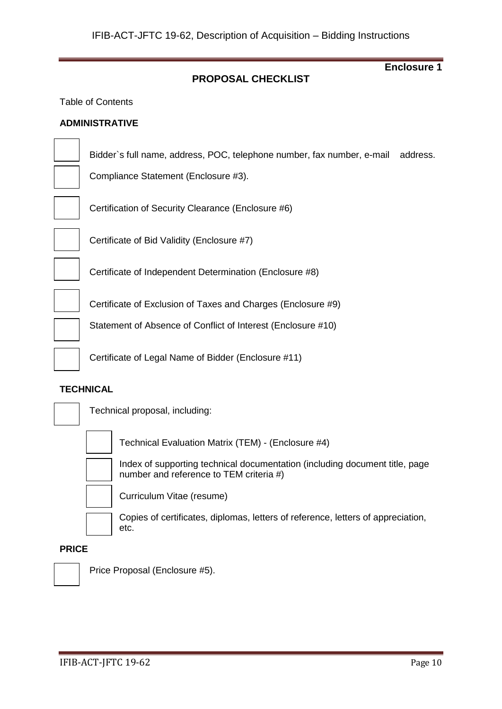## **PROPOSAL CHECKLIST**

Table of Contents

#### **ADMINISTRATIVE**

Bidder`s full name, address, POC, telephone number, fax number, e-mail address.

Compliance Statement (Enclosure #3).

Certification of Security Clearance (Enclosure #6)



Certificate of Bid Validity (Enclosure #7)

Certificate of Independent Determination (Enclosure #8)

Certificate of Exclusion of Taxes and Charges (Enclosure #9)

Statement of Absence of Conflict of Interest (Enclosure #10)

Certificate of Legal Name of Bidder (Enclosure #11)

#### **TECHNICAL**



Technical proposal, including:



Technical Evaluation Matrix (TEM) - (Enclosure #4)

Index of supporting technical documentation (including document title, page number and reference to TEM criteria #)



Curriculum Vitae (resume)

Copies of certificates, diplomas, letters of reference, letters of appreciation, etc.

## **PRICE**



Price Proposal (Enclosure #5).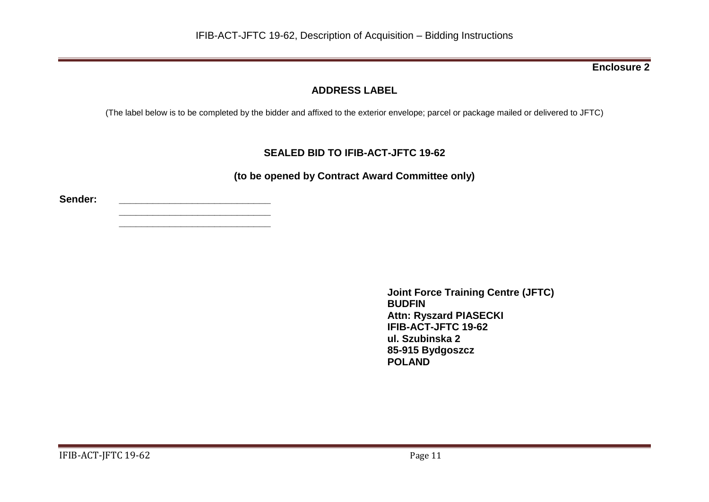## **ADDRESS LABEL**

(The label below is to be completed by the bidder and affixed to the exterior envelope; parcel or package mailed or delivered to JFTC)

## **SEALED BID TO IFIB-ACT-JFTC 19-62**

**(to be opened by Contract Award Committee only)**

**Sender: \_\_\_\_\_\_\_\_\_\_\_\_\_\_\_\_\_\_\_\_\_\_\_\_\_\_\_**

**\_\_\_\_\_\_\_\_\_\_\_\_\_\_\_\_\_\_\_\_\_\_\_\_\_\_\_ \_\_\_\_\_\_\_\_\_\_\_\_\_\_\_\_\_\_\_\_\_\_\_\_\_\_\_**

> **Joint Force Training Centre (JFTC) BUDFIN Attn: Ryszard PIASECKI IFIB-ACT-JFTC 19-62 ul. Szubinska 2 85-915 Bydgoszcz POLAND**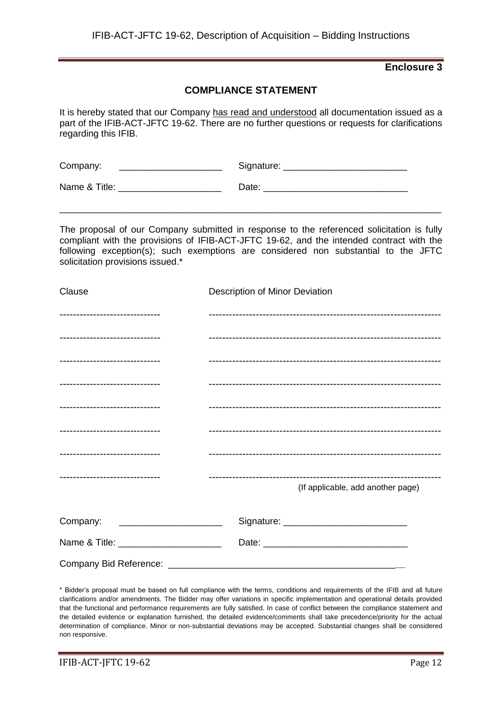## **COMPLIANCE STATEMENT**

It is hereby stated that our Company has read and understood all documentation issued as a part of the IFIB-ACT-JFTC 19-62. There are no further questions or requests for clarifications regarding this IFIB.

| Company:      | Signature: |
|---------------|------------|
| Name & Title: | Date:      |

The proposal of our Company submitted in response to the referenced solicitation is fully compliant with the provisions of IFIB-ACT-JFTC 19-62, and the intended contract with the following exception(s); such exemptions are considered non substantial to the JFTC solicitation provisions issued.\*

\_\_\_\_\_\_\_\_\_\_\_\_\_\_\_\_\_\_\_\_\_\_\_\_\_\_\_\_\_\_\_\_\_\_\_\_\_\_\_\_\_\_\_\_\_\_\_\_\_\_\_\_\_\_\_\_\_\_\_\_\_\_\_\_\_\_\_\_\_\_\_\_\_\_

| Clause                                | Description of Minor Deviation    |
|---------------------------------------|-----------------------------------|
| ------------------------------        |                                   |
| ------------------------------        |                                   |
| -------------------------------       |                                   |
| -------------------------------       |                                   |
| -------------------------------       |                                   |
| -------------------------------       |                                   |
| -------------------------------       |                                   |
| -------------------------------       | (If applicable, add another page) |
| Company:                              |                                   |
| Name & Title: _______________________ |                                   |
|                                       |                                   |

\* Bidder's proposal must be based on full compliance with the terms, conditions and requirements of the IFIB and all future clarifications and/or amendments. The Bidder may offer variations in specific implementation and operational details provided that the functional and performance requirements are fully satisfied. In case of conflict between the compliance statement and the detailed evidence or explanation furnished, the detailed evidence/comments shall take precedence/priority for the actual determination of compliance. Minor or non-substantial deviations may be accepted. Substantial changes shall be considered non responsive.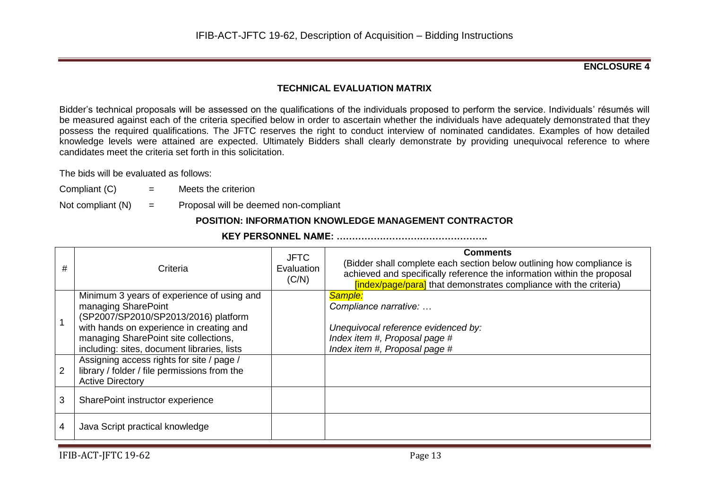#### **ENCLOSURE 4**

## **TECHNICAL EVALUATION MATRIX**

Bidder's technical proposals will be assessed on the qualifications of the individuals proposed to perform the service. Individuals' résumés will be measured against each of the criteria specified below in order to ascertain whether the individuals have adequately demonstrated that they possess the required qualifications. The JFTC reserves the right to conduct interview of nominated candidates. Examples of how detailed knowledge levels were attained are expected. Ultimately Bidders shall clearly demonstrate by providing unequivocal reference to where candidates meet the criteria set forth in this solicitation.

The bids will be evaluated as follows:

- Compliant  $(C)$  = Meets the criterion
- Not compliant  $(N)$  = Proposal will be deemed non-compliant

## **POSITION: INFORMATION KNOWLEDGE MANAGEMENT CONTRACTOR**

|--|

| #              | Criteria                                                                                                                                                                                                                                      | <b>JFTC</b><br>Evaluation<br>(C/N) | <b>Comments</b><br>(Bidder shall complete each section below outlining how compliance is<br>achieved and specifically reference the information within the proposal<br><b>findex/page/paral</b> that demonstrates compliance with the criteria) |
|----------------|-----------------------------------------------------------------------------------------------------------------------------------------------------------------------------------------------------------------------------------------------|------------------------------------|-------------------------------------------------------------------------------------------------------------------------------------------------------------------------------------------------------------------------------------------------|
|                | Minimum 3 years of experience of using and<br>managing SharePoint<br>(SP2007/SP2010/SP2013/2016) platform<br>with hands on experience in creating and<br>managing SharePoint site collections,<br>including: sites, document libraries, lists |                                    | Sample:<br>Compliance narrative:<br>Unequivocal reference evidenced by:<br>Index item #, Proposal page #<br>Index item #, Proposal page #                                                                                                       |
| $\overline{2}$ | Assigning access rights for site / page /<br>library / folder / file permissions from the<br><b>Active Directory</b>                                                                                                                          |                                    |                                                                                                                                                                                                                                                 |
| 3              | SharePoint instructor experience                                                                                                                                                                                                              |                                    |                                                                                                                                                                                                                                                 |
| 4              | Java Script practical knowledge                                                                                                                                                                                                               |                                    |                                                                                                                                                                                                                                                 |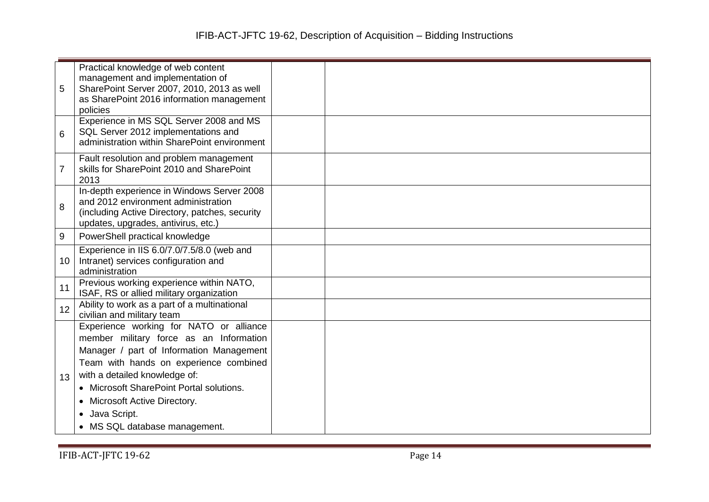|                | Practical knowledge of web content                                                    |  |
|----------------|---------------------------------------------------------------------------------------|--|
|                | management and implementation of                                                      |  |
| 5              | SharePoint Server 2007, 2010, 2013 as well                                            |  |
|                | as SharePoint 2016 information management<br>policies                                 |  |
|                | Experience in MS SQL Server 2008 and MS                                               |  |
| 6              | SQL Server 2012 implementations and                                                   |  |
|                | administration within SharePoint environment                                          |  |
|                | Fault resolution and problem management                                               |  |
| $\overline{7}$ | skills for SharePoint 2010 and SharePoint                                             |  |
|                | 2013                                                                                  |  |
|                | In-depth experience in Windows Server 2008                                            |  |
| 8              | and 2012 environment administration                                                   |  |
|                | (including Active Directory, patches, security<br>updates, upgrades, antivirus, etc.) |  |
|                |                                                                                       |  |
| 9              | PowerShell practical knowledge                                                        |  |
|                | Experience in IIS 6.0/7.0/7.5/8.0 (web and                                            |  |
| 10             | Intranet) services configuration and<br>administration                                |  |
|                | Previous working experience within NATO,                                              |  |
| 11             | ISAF, RS or allied military organization                                              |  |
| 12             | Ability to work as a part of a multinational                                          |  |
|                | civilian and military team                                                            |  |
|                | Experience working for NATO or alliance                                               |  |
|                | member military force as an Information                                               |  |
|                | Manager / part of Information Management                                              |  |
|                | Team with hands on experience combined                                                |  |
| 13             | with a detailed knowledge of:                                                         |  |
|                | • Microsoft SharePoint Portal solutions.                                              |  |
|                | • Microsoft Active Directory.                                                         |  |
|                | Java Script.                                                                          |  |
|                | • MS SQL database management.                                                         |  |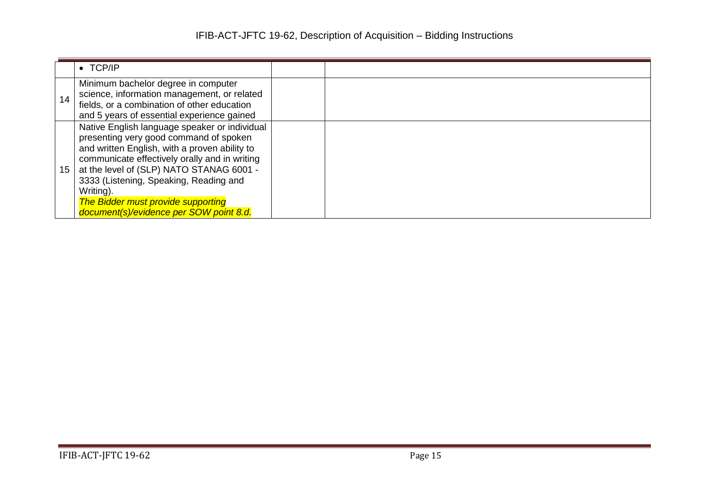|    | $\bullet$ TCP/IP                                                                                                                                                                                                                                                                                                                                                                     |  |
|----|--------------------------------------------------------------------------------------------------------------------------------------------------------------------------------------------------------------------------------------------------------------------------------------------------------------------------------------------------------------------------------------|--|
| 14 | Minimum bachelor degree in computer<br>science, information management, or related<br>fields, or a combination of other education<br>and 5 years of essential experience gained                                                                                                                                                                                                      |  |
| 15 | Native English language speaker or individual<br>presenting very good command of spoken<br>and written English, with a proven ability to<br>communicate effectively orally and in writing<br>at the level of (SLP) NATO STANAG 6001 -<br>3333 (Listening, Speaking, Reading and<br>Writing).<br><b>The Bidder must provide supporting</b><br>document(s)/evidence per SOW point 8.d. |  |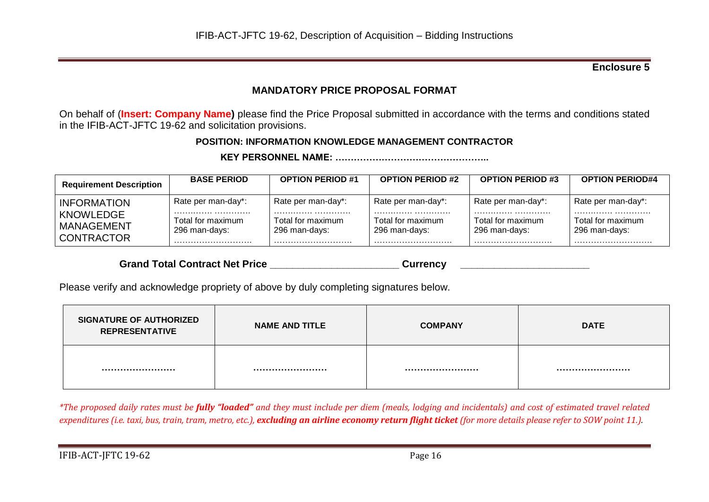## **MANDATORY PRICE PROPOSAL FORMAT**

On behalf of (**Insert: Company Name)** please find the Price Proposal submitted in accordance with the terms and conditions stated in the IFIB-ACT-JFTC 19-62 and solicitation provisions.

## **POSITION: INFORMATION KNOWLEDGE MANAGEMENT CONTRACTOR**

**KEY PERSONNEL NAME: …………………………………………..**

| <b>Requirement Description</b>                                            | <b>BASE PERIOD</b>                                           | <b>OPTION PERIOD #1</b>                                      | <b>OPTION PERIOD #2</b>                                      | <b>OPTION PERIOD #3</b>                                  | <b>OPTION PERIOD#4</b>                                   |
|---------------------------------------------------------------------------|--------------------------------------------------------------|--------------------------------------------------------------|--------------------------------------------------------------|----------------------------------------------------------|----------------------------------------------------------|
| <b>INFORMATION</b><br>KNOWLEDGE<br><b>MANAGEMENT</b><br><b>CONTRACTOR</b> | Rate per man-day*:<br>Total for maximum<br>296 man-days:<br> | Rate per man-day*:<br>Total for maximum<br>296 man-days:<br> | Rate per man-day*:<br><br>Total for maximum<br>296 man-days: | Rate per man-day*:<br>Total for maximum<br>296 man-days: | Rate per man-day*:<br>Total for maximum<br>296 man-days: |

Grand Total Contract Net Price **Example 20 and Server Currency Currency Currency Currency Currency Currency** 

Please verify and acknowledge propriety of above by duly completing signatures below.

| <b>SIGNATURE OF AUTHORIZED</b><br><b>REPRESENTATIVE</b> | <b>NAME AND TITLE</b> | <b>COMPANY</b> | <b>DATE</b> |
|---------------------------------------------------------|-----------------------|----------------|-------------|
|                                                         |                       |                |             |

*\*The proposed daily rates must be fully "loaded" and they must include per diem (meals, lodging and incidentals) and cost of estimated travel related expenditures (i.e. taxi, bus, train, tram, metro, etc.), excluding an airline economy return flight ticket (for more details please refer to SOW point 11.).*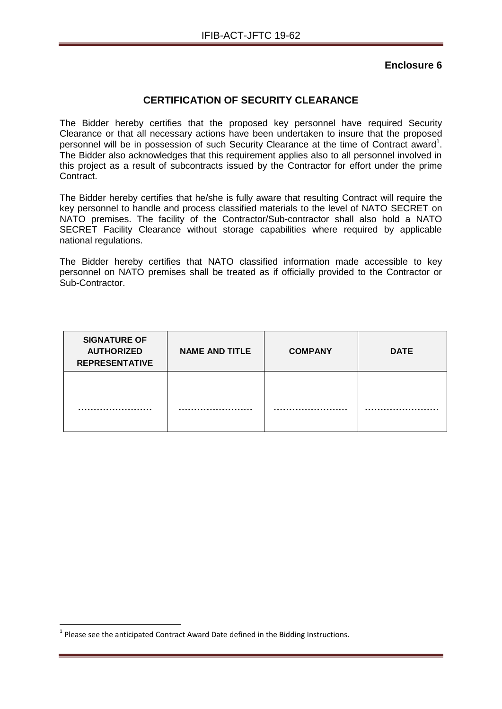## **CERTIFICATION OF SECURITY CLEARANCE**

The Bidder hereby certifies that the proposed key personnel have required Security Clearance or that all necessary actions have been undertaken to insure that the proposed personnel will be in possession of such Security Clearance at the time of Contract award<sup>1</sup>. The Bidder also acknowledges that this requirement applies also to all personnel involved in this project as a result of subcontracts issued by the Contractor for effort under the prime Contract.

The Bidder hereby certifies that he/she is fully aware that resulting Contract will require the key personnel to handle and process classified materials to the level of NATO SECRET on NATO premises. The facility of the Contractor/Sub-contractor shall also hold a NATO SECRET Facility Clearance without storage capabilities where required by applicable national regulations.

The Bidder hereby certifies that NATO classified information made accessible to key personnel on NATO premises shall be treated as if officially provided to the Contractor or Sub-Contractor.

| <b>SIGNATURE OF</b><br><b>AUTHORIZED</b><br><b>REPRESENTATIVE</b> | <b>NAME AND TITLE</b> | <b>COMPANY</b> | <b>DATE</b> |
|-------------------------------------------------------------------|-----------------------|----------------|-------------|
|                                                                   |                       |                |             |

1

 $<sup>1</sup>$  Please see the anticipated Contract Award Date defined in the Bidding Instructions.</sup>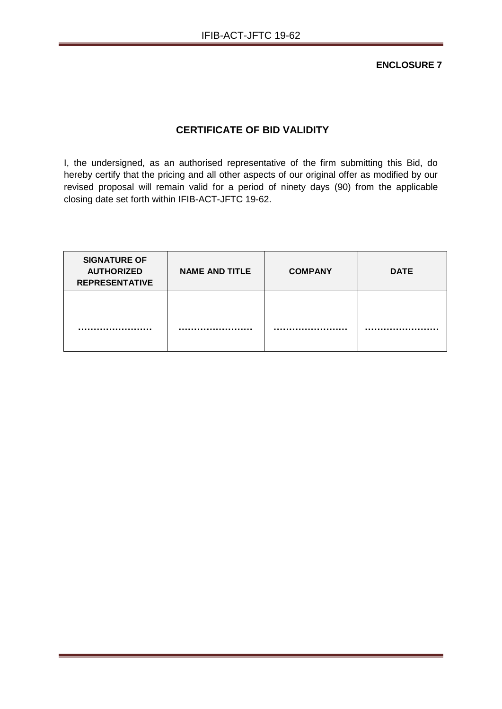**ENCLOSURE 7**

## **CERTIFICATE OF BID VALIDITY**

I, the undersigned, as an authorised representative of the firm submitting this Bid, do hereby certify that the pricing and all other aspects of our original offer as modified by our revised proposal will remain valid for a period of ninety days (90) from the applicable closing date set forth within IFIB-ACT-JFTC 19-62.

| <b>SIGNATURE OF</b><br><b>AUTHORIZED</b><br><b>REPRESENTATIVE</b> | <b>NAME AND TITLE</b> | <b>COMPANY</b> | <b>DATE</b> |
|-------------------------------------------------------------------|-----------------------|----------------|-------------|
|                                                                   |                       |                |             |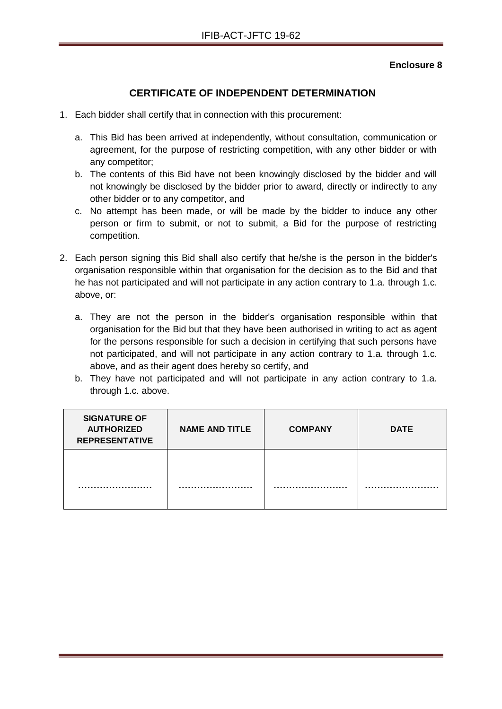## **CERTIFICATE OF INDEPENDENT DETERMINATION**

- 1. Each bidder shall certify that in connection with this procurement:
	- a. This Bid has been arrived at independently, without consultation, communication or agreement, for the purpose of restricting competition, with any other bidder or with any competitor;
	- b. The contents of this Bid have not been knowingly disclosed by the bidder and will not knowingly be disclosed by the bidder prior to award, directly or indirectly to any other bidder or to any competitor, and
	- c. No attempt has been made, or will be made by the bidder to induce any other person or firm to submit, or not to submit, a Bid for the purpose of restricting competition.
- 2. Each person signing this Bid shall also certify that he/she is the person in the bidder's organisation responsible within that organisation for the decision as to the Bid and that he has not participated and will not participate in any action contrary to 1.a. through 1.c. above, or:
	- a. They are not the person in the bidder's organisation responsible within that organisation for the Bid but that they have been authorised in writing to act as agent for the persons responsible for such a decision in certifying that such persons have not participated, and will not participate in any action contrary to 1.a. through 1.c. above, and as their agent does hereby so certify, and
	- b. They have not participated and will not participate in any action contrary to 1.a. through 1.c. above.

| <b>SIGNATURE OF</b><br><b>AUTHORIZED</b><br><b>REPRESENTATIVE</b> | <b>NAME AND TITLE</b> | <b>COMPANY</b> | <b>DATE</b> |
|-------------------------------------------------------------------|-----------------------|----------------|-------------|
|                                                                   |                       |                |             |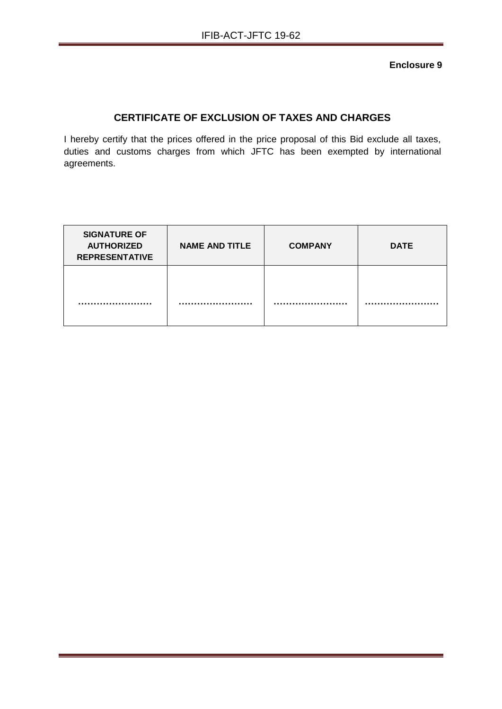## **CERTIFICATE OF EXCLUSION OF TAXES AND CHARGES**

I hereby certify that the prices offered in the price proposal of this Bid exclude all taxes, duties and customs charges from which JFTC has been exempted by international agreements.

| <b>SIGNATURE OF</b><br><b>AUTHORIZED</b><br><b>REPRESENTATIVE</b> | <b>NAME AND TITLE</b> | <b>COMPANY</b> | <b>DATE</b> |
|-------------------------------------------------------------------|-----------------------|----------------|-------------|
|                                                                   |                       |                |             |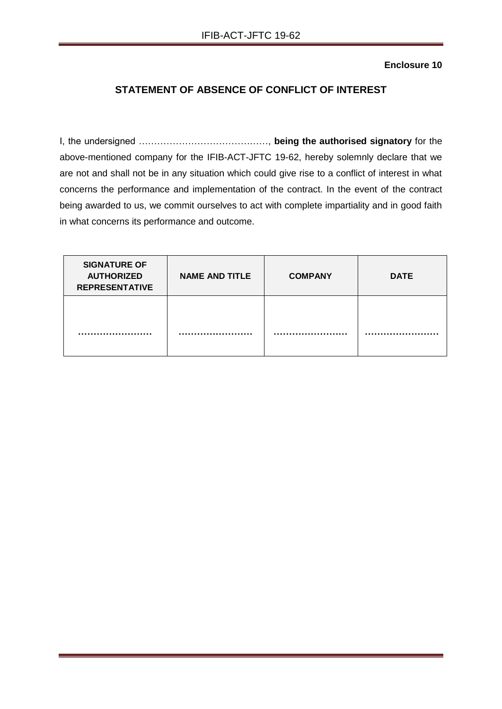## **STATEMENT OF ABSENCE OF CONFLICT OF INTEREST**

I, the undersigned ……………………………………, **being the authorised signatory** for the above-mentioned company for the IFIB-ACT-JFTC 19-62, hereby solemnly declare that we are not and shall not be in any situation which could give rise to a conflict of interest in what concerns the performance and implementation of the contract. In the event of the contract being awarded to us, we commit ourselves to act with complete impartiality and in good faith in what concerns its performance and outcome.

| <b>SIGNATURE OF</b><br><b>AUTHORIZED</b><br><b>REPRESENTATIVE</b> | <b>NAME AND TITLE</b> | <b>COMPANY</b> | <b>DATE</b> |
|-------------------------------------------------------------------|-----------------------|----------------|-------------|
|                                                                   |                       |                |             |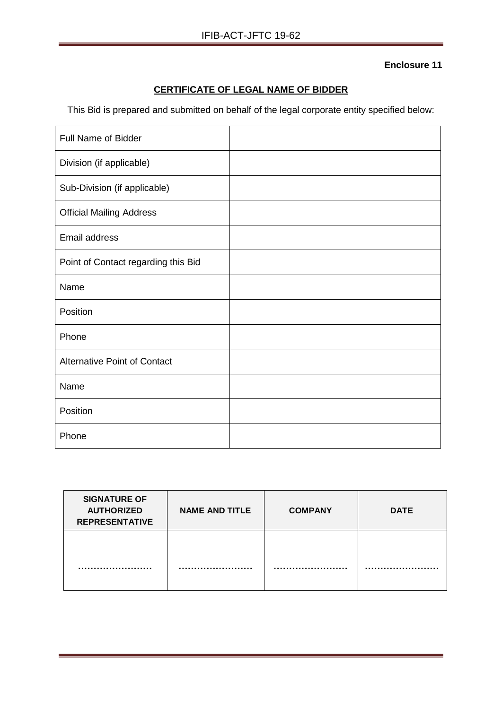## **CERTIFICATE OF LEGAL NAME OF BIDDER**

This Bid is prepared and submitted on behalf of the legal corporate entity specified below:

| <b>Full Name of Bidder</b>          |  |
|-------------------------------------|--|
| Division (if applicable)            |  |
| Sub-Division (if applicable)        |  |
| <b>Official Mailing Address</b>     |  |
| <b>Email address</b>                |  |
| Point of Contact regarding this Bid |  |
| Name                                |  |
| Position                            |  |
| Phone                               |  |
| <b>Alternative Point of Contact</b> |  |
| Name                                |  |
| Position                            |  |
| Phone                               |  |

| <b>SIGNATURE OF</b><br><b>AUTHORIZED</b><br><b>REPRESENTATIVE</b> | <b>NAME AND TITLE</b> | <b>COMPANY</b> | <b>DATE</b> |
|-------------------------------------------------------------------|-----------------------|----------------|-------------|
|                                                                   |                       |                |             |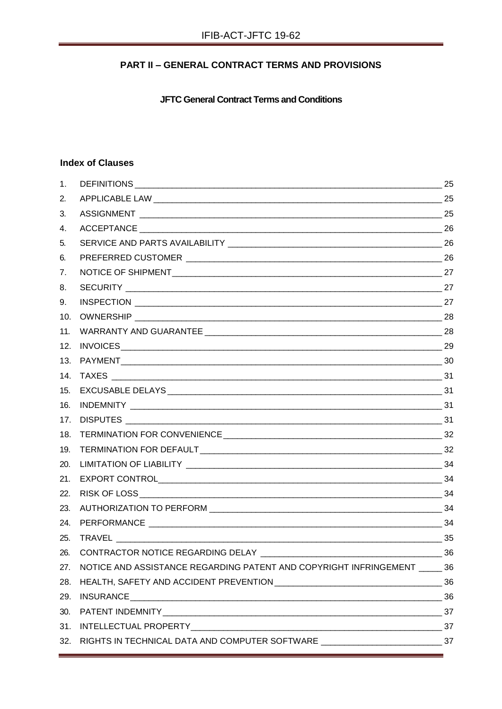## **PART II - GENERAL CONTRACT TERMS AND PROVISIONS**

**JFTC General Contract Terms and Conditions** 

## **Index of Clauses**

| CONTRACTOR NOTICE REGARDING DELAY | 36                                                                                                                                                         |
|-----------------------------------|------------------------------------------------------------------------------------------------------------------------------------------------------------|
|                                   |                                                                                                                                                            |
|                                   |                                                                                                                                                            |
|                                   |                                                                                                                                                            |
|                                   |                                                                                                                                                            |
|                                   |                                                                                                                                                            |
|                                   |                                                                                                                                                            |
|                                   | NOTICE AND ASSISTANCE REGARDING PATENT AND COPYRIGHT INFRINGEMENT 36<br>RIGHTS IN TECHNICAL DATA AND COMPUTER SOFTWARE _________________________________37 |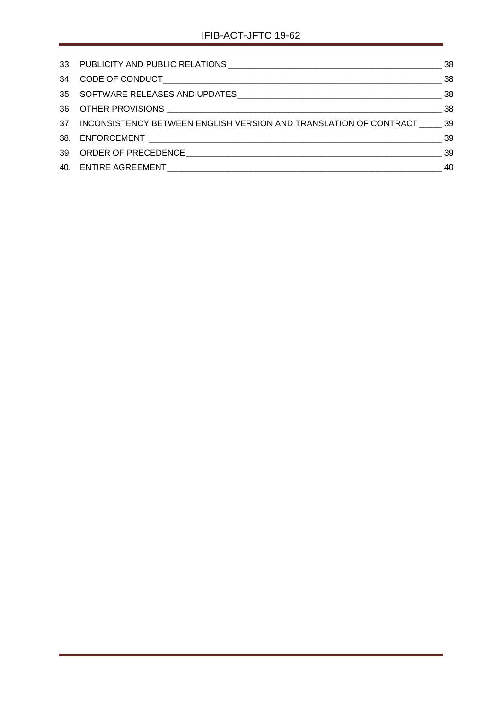<span id="page-23-0"></span>

| 37. INCONSISTENCY BETWEEN ENGLISH VERSION AND TRANSLATION OF CONTRACT ______ 39 |    |
|---------------------------------------------------------------------------------|----|
|                                                                                 |    |
|                                                                                 |    |
|                                                                                 | 40 |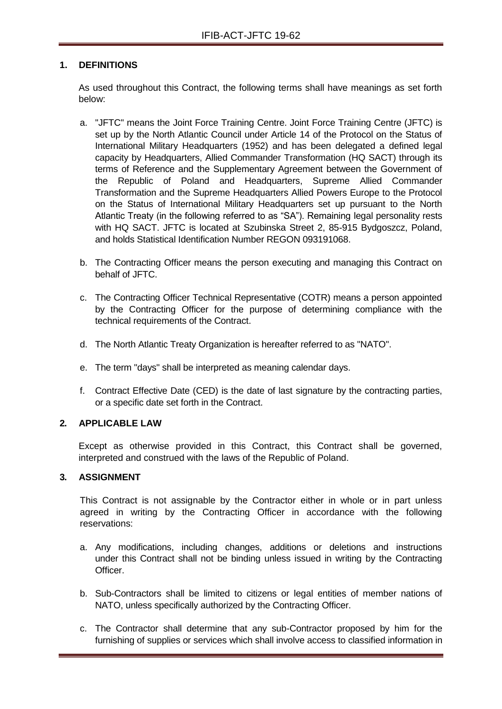#### **1. DEFINITIONS**

As used throughout this Contract, the following terms shall have meanings as set forth below:

- a. "JFTC" means the Joint Force Training Centre. Joint Force Training Centre (JFTC) is set up by the North Atlantic Council under Article 14 of the Protocol on the Status of International Military Headquarters (1952) and has been delegated a defined legal capacity by Headquarters, Allied Commander Transformation (HQ SACT) through its terms of Reference and the Supplementary Agreement between the Government of the Republic of Poland and Headquarters, Supreme Allied Commander Transformation and the Supreme Headquarters Allied Powers Europe to the Protocol on the Status of International Military Headquarters set up pursuant to the North Atlantic Treaty (in the following referred to as "SA"). Remaining legal personality rests with HQ SACT. JFTC is located at Szubinska Street 2, 85-915 Bydgoszcz, Poland, and holds Statistical Identification Number REGON 093191068.
- b. The Contracting Officer means the person executing and managing this Contract on behalf of JFTC.
- c. The Contracting Officer Technical Representative (COTR) means a person appointed by the Contracting Officer for the purpose of determining compliance with the technical requirements of the Contract.
- d. The North Atlantic Treaty Organization is hereafter referred to as "NATO".
- e. The term "days" shall be interpreted as meaning calendar days.
- f. Contract Effective Date (CED) is the date of last signature by the contracting parties, or a specific date set forth in the Contract.

#### <span id="page-24-0"></span>**2. APPLICABLE LAW**

Except as otherwise provided in this Contract, this Contract shall be governed, interpreted and construed with the laws of the Republic of Poland.

## <span id="page-24-1"></span>**3. ASSIGNMENT**

This Contract is not assignable by the Contractor either in whole or in part unless agreed in writing by the Contracting Officer in accordance with the following reservations:

- a. Any modifications, including changes, additions or deletions and instructions under this Contract shall not be binding unless issued in writing by the Contracting **Officer**
- b. Sub-Contractors shall be limited to citizens or legal entities of member nations of NATO, unless specifically authorized by the Contracting Officer.
- c. The Contractor shall determine that any sub-Contractor proposed by him for the furnishing of supplies or services which shall involve access to classified information in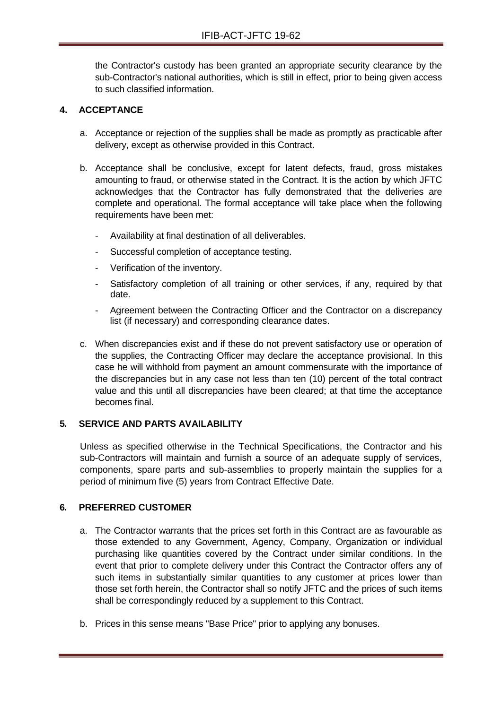the Contractor's custody has been granted an appropriate security clearance by the sub-Contractor's national authorities, which is still in effect, prior to being given access to such classified information.

## <span id="page-25-0"></span>**4. ACCEPTANCE**

- a. Acceptance or rejection of the supplies shall be made as promptly as practicable after delivery, except as otherwise provided in this Contract.
- b. Acceptance shall be conclusive, except for latent defects, fraud, gross mistakes amounting to fraud, or otherwise stated in the Contract. It is the action by which JFTC acknowledges that the Contractor has fully demonstrated that the deliveries are complete and operational. The formal acceptance will take place when the following requirements have been met:
	- Availability at final destination of all deliverables.
	- Successful completion of acceptance testing.
	- Verification of the inventory.
	- Satisfactory completion of all training or other services, if any, required by that date.
	- Agreement between the Contracting Officer and the Contractor on a discrepancy list (if necessary) and corresponding clearance dates.
- c. When discrepancies exist and if these do not prevent satisfactory use or operation of the supplies, the Contracting Officer may declare the acceptance provisional. In this case he will withhold from payment an amount commensurate with the importance of the discrepancies but in any case not less than ten (10) percent of the total contract value and this until all discrepancies have been cleared; at that time the acceptance becomes final.

#### <span id="page-25-1"></span>**5. SERVICE AND PARTS AVAILABILITY**

Unless as specified otherwise in the Technical Specifications, the Contractor and his sub-Contractors will maintain and furnish a source of an adequate supply of services, components, spare parts and sub-assemblies to properly maintain the supplies for a period of minimum five (5) years from Contract Effective Date.

#### <span id="page-25-2"></span>**6. PREFERRED CUSTOMER**

- a. The Contractor warrants that the prices set forth in this Contract are as favourable as those extended to any Government, Agency, Company, Organization or individual purchasing like quantities covered by the Contract under similar conditions. In the event that prior to complete delivery under this Contract the Contractor offers any of such items in substantially similar quantities to any customer at prices lower than those set forth herein, the Contractor shall so notify JFTC and the prices of such items shall be correspondingly reduced by a supplement to this Contract.
- b. Prices in this sense means "Base Price" prior to applying any bonuses.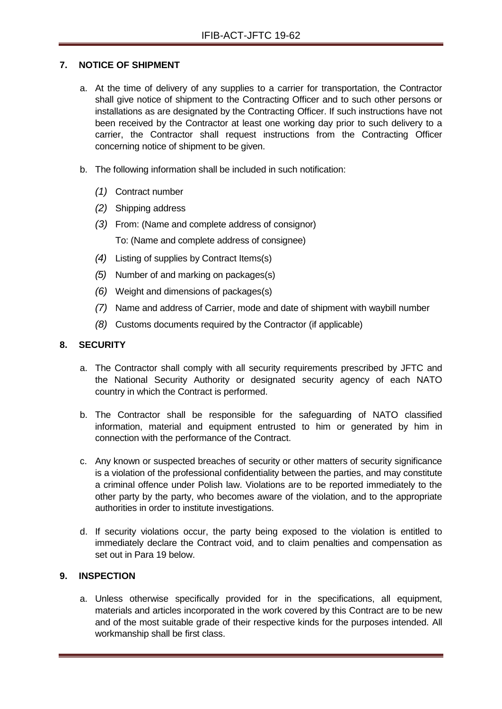## <span id="page-26-0"></span>**7. NOTICE OF SHIPMENT**

- a. At the time of delivery of any supplies to a carrier for transportation, the Contractor shall give notice of shipment to the Contracting Officer and to such other persons or installations as are designated by the Contracting Officer. If such instructions have not been received by the Contractor at least one working day prior to such delivery to a carrier, the Contractor shall request instructions from the Contracting Officer concerning notice of shipment to be given.
- b. The following information shall be included in such notification:
	- *(1)* Contract number
	- *(2)* Shipping address
	- *(3)* From: (Name and complete address of consignor) To: (Name and complete address of consignee)
	- *(4)* Listing of supplies by Contract Items(s)
	- *(5)* Number of and marking on packages(s)
	- *(6)* Weight and dimensions of packages(s)
	- *(7)* Name and address of Carrier, mode and date of shipment with waybill number
	- *(8)* Customs documents required by the Contractor (if applicable)

## <span id="page-26-1"></span>**8. SECURITY**

- a. The Contractor shall comply with all security requirements prescribed by JFTC and the National Security Authority or designated security agency of each NATO country in which the Contract is performed.
- b. The Contractor shall be responsible for the safeguarding of NATO classified information, material and equipment entrusted to him or generated by him in connection with the performance of the Contract.
- c. Any known or suspected breaches of security or other matters of security significance is a violation of the professional confidentiality between the parties, and may constitute a criminal offence under Polish law. Violations are to be reported immediately to the other party by the party, who becomes aware of the violation, and to the appropriate authorities in order to institute investigations.
- d. If security violations occur, the party being exposed to the violation is entitled to immediately declare the Contract void, and to claim penalties and compensation as set out in Para 19 below.

#### <span id="page-26-2"></span>**9. INSPECTION**

a. Unless otherwise specifically provided for in the specifications, all equipment, materials and articles incorporated in the work covered by this Contract are to be new and of the most suitable grade of their respective kinds for the purposes intended. All workmanship shall be first class.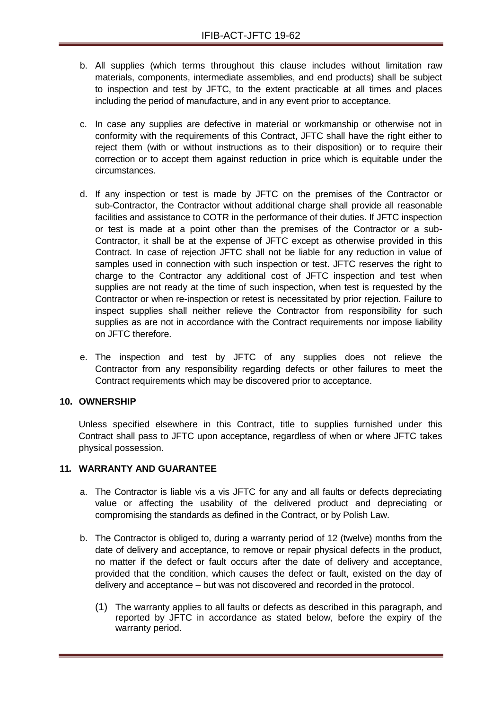- b. All supplies (which terms throughout this clause includes without limitation raw materials, components, intermediate assemblies, and end products) shall be subject to inspection and test by JFTC, to the extent practicable at all times and places including the period of manufacture, and in any event prior to acceptance.
- c. In case any supplies are defective in material or workmanship or otherwise not in conformity with the requirements of this Contract, JFTC shall have the right either to reject them (with or without instructions as to their disposition) or to require their correction or to accept them against reduction in price which is equitable under the circumstances.
- d. If any inspection or test is made by JFTC on the premises of the Contractor or sub-Contractor, the Contractor without additional charge shall provide all reasonable facilities and assistance to COTR in the performance of their duties. If JFTC inspection or test is made at a point other than the premises of the Contractor or a sub-Contractor, it shall be at the expense of JFTC except as otherwise provided in this Contract. In case of rejection JFTC shall not be liable for any reduction in value of samples used in connection with such inspection or test. JFTC reserves the right to charge to the Contractor any additional cost of JFTC inspection and test when supplies are not ready at the time of such inspection, when test is requested by the Contractor or when re-inspection or retest is necessitated by prior rejection. Failure to inspect supplies shall neither relieve the Contractor from responsibility for such supplies as are not in accordance with the Contract requirements nor impose liability on JFTC therefore.
- e. The inspection and test by JFTC of any supplies does not relieve the Contractor from any responsibility regarding defects or other failures to meet the Contract requirements which may be discovered prior to acceptance.

#### <span id="page-27-0"></span>**10. OWNERSHIP**

Unless specified elsewhere in this Contract, title to supplies furnished under this Contract shall pass to JFTC upon acceptance, regardless of when or where JFTC takes physical possession.

#### <span id="page-27-1"></span>**11. WARRANTY AND GUARANTEE**

- a. The Contractor is liable vis a vis JFTC for any and all faults or defects depreciating value or affecting the usability of the delivered product and depreciating or compromising the standards as defined in the Contract, or by Polish Law.
- b. The Contractor is obliged to, during a warranty period of 12 (twelve) months from the date of delivery and acceptance, to remove or repair physical defects in the product, no matter if the defect or fault occurs after the date of delivery and acceptance, provided that the condition, which causes the defect or fault, existed on the day of delivery and acceptance – but was not discovered and recorded in the protocol.
	- (1) The warranty applies to all faults or defects as described in this paragraph, and reported by JFTC in accordance as stated below, before the expiry of the warranty period.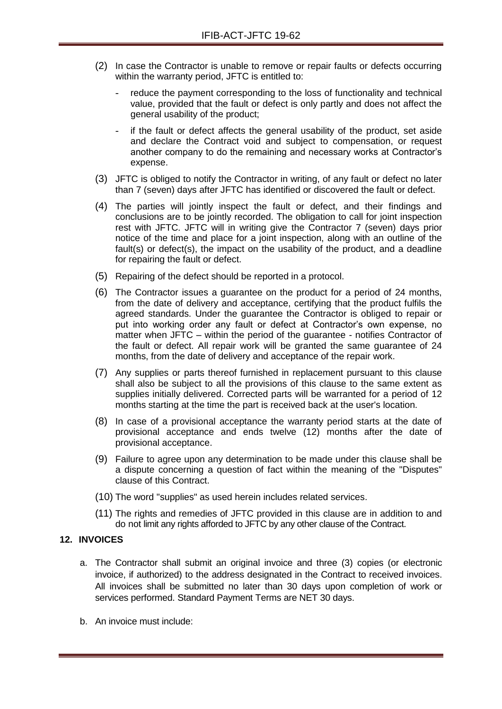- (2) In case the Contractor is unable to remove or repair faults or defects occurring within the warranty period, JFTC is entitled to:
	- reduce the payment corresponding to the loss of functionality and technical value, provided that the fault or defect is only partly and does not affect the general usability of the product;
	- if the fault or defect affects the general usability of the product, set aside and declare the Contract void and subject to compensation, or request another company to do the remaining and necessary works at Contractor's expense.
- (3) JFTC is obliged to notify the Contractor in writing, of any fault or defect no later than 7 (seven) days after JFTC has identified or discovered the fault or defect.
- (4) The parties will jointly inspect the fault or defect, and their findings and conclusions are to be jointly recorded. The obligation to call for joint inspection rest with JFTC. JFTC will in writing give the Contractor 7 (seven) days prior notice of the time and place for a joint inspection, along with an outline of the fault(s) or defect(s), the impact on the usability of the product, and a deadline for repairing the fault or defect.
- (5) Repairing of the defect should be reported in a protocol.
- (6) The Contractor issues a guarantee on the product for a period of 24 months, from the date of delivery and acceptance, certifying that the product fulfils the agreed standards. Under the guarantee the Contractor is obliged to repair or put into working order any fault or defect at Contractor's own expense, no matter when JFTC – within the period of the guarantee - notifies Contractor of the fault or defect. All repair work will be granted the same guarantee of 24 months, from the date of delivery and acceptance of the repair work.
- (7) Any supplies or parts thereof furnished in replacement pursuant to this clause shall also be subject to all the provisions of this clause to the same extent as supplies initially delivered. Corrected parts will be warranted for a period of 12 months starting at the time the part is received back at the user's location.
- (8) In case of a provisional acceptance the warranty period starts at the date of provisional acceptance and ends twelve (12) months after the date of provisional acceptance.
- (9) Failure to agree upon any determination to be made under this clause shall be a dispute concerning a question of fact within the meaning of the "Disputes" clause of this Contract.
- (10) The word "supplies" as used herein includes related services.
- (11) The rights and remedies of JFTC provided in this clause are in addition to and do not limit any rights afforded to JFTC by any other clause of the Contract.

#### <span id="page-28-0"></span>**12. INVOICES**

- a. The Contractor shall submit an original invoice and three (3) copies (or electronic invoice, if authorized) to the address designated in the Contract to received invoices. All invoices shall be submitted no later than 30 days upon completion of work or services performed. Standard Payment Terms are NET 30 days.
- b. An invoice must include: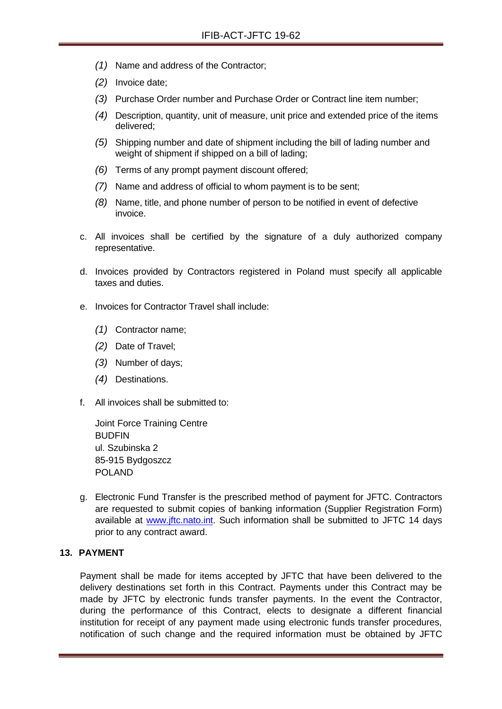- *(1)* Name and address of the Contractor;
- *(2)* Invoice date;
- *(3)* Purchase Order number and Purchase Order or Contract line item number;
- *(4)* Description, quantity, unit of measure, unit price and extended price of the items delivered;
- *(5)* Shipping number and date of shipment including the bill of lading number and weight of shipment if shipped on a bill of lading;
- *(6)* Terms of any prompt payment discount offered;
- *(7)* Name and address of official to whom payment is to be sent;
- *(8)* Name, title, and phone number of person to be notified in event of defective invoice.
- c. All invoices shall be certified by the signature of a duly authorized company representative.
- d. Invoices provided by Contractors registered in Poland must specify all applicable taxes and duties.
- e. Invoices for Contractor Travel shall include:
	- *(1)* Contractor name;
	- *(2)* Date of Travel;
	- *(3)* Number of days;
	- *(4)* Destinations.
- f. All invoices shall be submitted to:

Joint Force Training Centre **BUDFIN** ul. Szubinska 2 85-915 Bydgoszcz POLAND

g. Electronic Fund Transfer is the prescribed method of payment for JFTC. Contractors are requested to submit copies of banking information (Supplier Registration Form) available at [www.jftc.nato.int.](http://www.jftc.nato.int/) Such information shall be submitted to JFTC 14 days prior to any contract award.

#### <span id="page-29-0"></span>**13. PAYMENT**

Payment shall be made for items accepted by JFTC that have been delivered to the delivery destinations set forth in this Contract. Payments under this Contract may be made by JFTC by electronic funds transfer payments. In the event the Contractor, during the performance of this Contract, elects to designate a different financial institution for receipt of any payment made using electronic funds transfer procedures, notification of such change and the required information must be obtained by JFTC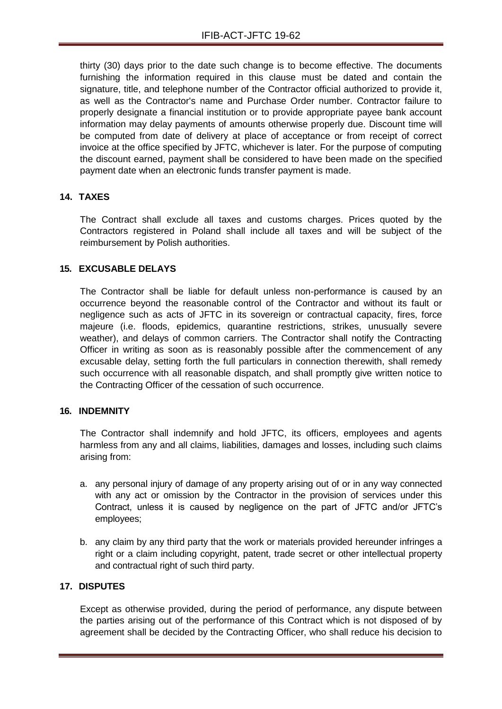thirty (30) days prior to the date such change is to become effective. The documents furnishing the information required in this clause must be dated and contain the signature, title, and telephone number of the Contractor official authorized to provide it, as well as the Contractor's name and Purchase Order number. Contractor failure to properly designate a financial institution or to provide appropriate payee bank account information may delay payments of amounts otherwise properly due. Discount time will be computed from date of delivery at place of acceptance or from receipt of correct invoice at the office specified by JFTC, whichever is later. For the purpose of computing the discount earned, payment shall be considered to have been made on the specified payment date when an electronic funds transfer payment is made.

## <span id="page-30-0"></span>**14. TAXES**

The Contract shall exclude all taxes and customs charges. Prices quoted by the Contractors registered in Poland shall include all taxes and will be subject of the reimbursement by Polish authorities.

#### <span id="page-30-1"></span>**15. EXCUSABLE DELAYS**

The Contractor shall be liable for default unless non-performance is caused by an occurrence beyond the reasonable control of the Contractor and without its fault or negligence such as acts of JFTC in its sovereign or contractual capacity, fires, force majeure (i.e. floods, epidemics, quarantine restrictions, strikes, unusually severe weather), and delays of common carriers. The Contractor shall notify the Contracting Officer in writing as soon as is reasonably possible after the commencement of any excusable delay, setting forth the full particulars in connection therewith, shall remedy such occurrence with all reasonable dispatch, and shall promptly give written notice to the Contracting Officer of the cessation of such occurrence.

#### <span id="page-30-2"></span>**16. INDEMNITY**

The Contractor shall indemnify and hold JFTC, its officers, employees and agents harmless from any and all claims, liabilities, damages and losses, including such claims arising from:

- a. any personal injury of damage of any property arising out of or in any way connected with any act or omission by the Contractor in the provision of services under this Contract, unless it is caused by negligence on the part of JFTC and/or JFTC's employees;
- b. any claim by any third party that the work or materials provided hereunder infringes a right or a claim including copyright, patent, trade secret or other intellectual property and contractual right of such third party.

## <span id="page-30-3"></span>**17. DISPUTES**

Except as otherwise provided, during the period of performance, any dispute between the parties arising out of the performance of this Contract which is not disposed of by agreement shall be decided by the Contracting Officer, who shall reduce his decision to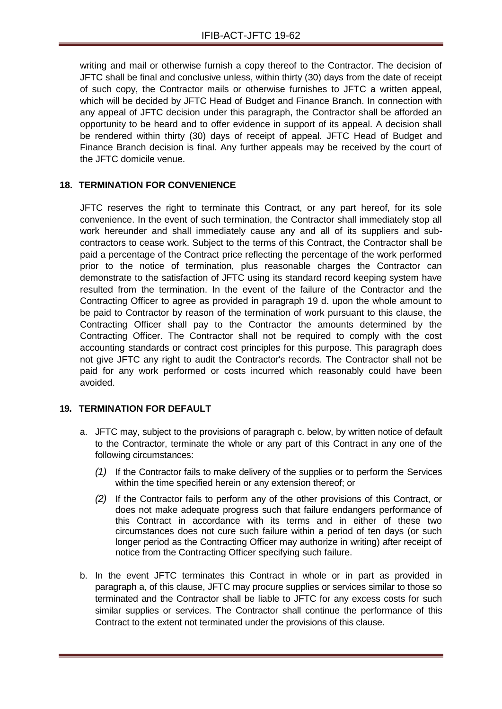writing and mail or otherwise furnish a copy thereof to the Contractor. The decision of JFTC shall be final and conclusive unless, within thirty (30) days from the date of receipt of such copy, the Contractor mails or otherwise furnishes to JFTC a written appeal, which will be decided by JFTC Head of Budget and Finance Branch. In connection with any appeal of JFTC decision under this paragraph, the Contractor shall be afforded an opportunity to be heard and to offer evidence in support of its appeal. A decision shall be rendered within thirty (30) days of receipt of appeal. JFTC Head of Budget and Finance Branch decision is final. Any further appeals may be received by the court of the JFTC domicile venue.

## <span id="page-31-0"></span>**18. TERMINATION FOR CONVENIENCE**

JFTC reserves the right to terminate this Contract, or any part hereof, for its sole convenience. In the event of such termination, the Contractor shall immediately stop all work hereunder and shall immediately cause any and all of its suppliers and subcontractors to cease work. Subject to the terms of this Contract, the Contractor shall be paid a percentage of the Contract price reflecting the percentage of the work performed prior to the notice of termination, plus reasonable charges the Contractor can demonstrate to the satisfaction of JFTC using its standard record keeping system have resulted from the termination. In the event of the failure of the Contractor and the Contracting Officer to agree as provided in paragraph 19 d. upon the whole amount to be paid to Contractor by reason of the termination of work pursuant to this clause, the Contracting Officer shall pay to the Contractor the amounts determined by the Contracting Officer. The Contractor shall not be required to comply with the cost accounting standards or contract cost principles for this purpose. This paragraph does not give JFTC any right to audit the Contractor's records. The Contractor shall not be paid for any work performed or costs incurred which reasonably could have been avoided.

#### <span id="page-31-1"></span>**19. TERMINATION FOR DEFAULT**

- a. JFTC may, subject to the provisions of paragraph c. below, by written notice of default to the Contractor, terminate the whole or any part of this Contract in any one of the following circumstances:
	- *(1)* If the Contractor fails to make delivery of the supplies or to perform the Services within the time specified herein or any extension thereof; or
	- *(2)* If the Contractor fails to perform any of the other provisions of this Contract, or does not make adequate progress such that failure endangers performance of this Contract in accordance with its terms and in either of these two circumstances does not cure such failure within a period of ten days (or such longer period as the Contracting Officer may authorize in writing) after receipt of notice from the Contracting Officer specifying such failure.
- b. In the event JFTC terminates this Contract in whole or in part as provided in paragraph a, of this clause, JFTC may procure supplies or services similar to those so terminated and the Contractor shall be liable to JFTC for any excess costs for such similar supplies or services. The Contractor shall continue the performance of this Contract to the extent not terminated under the provisions of this clause.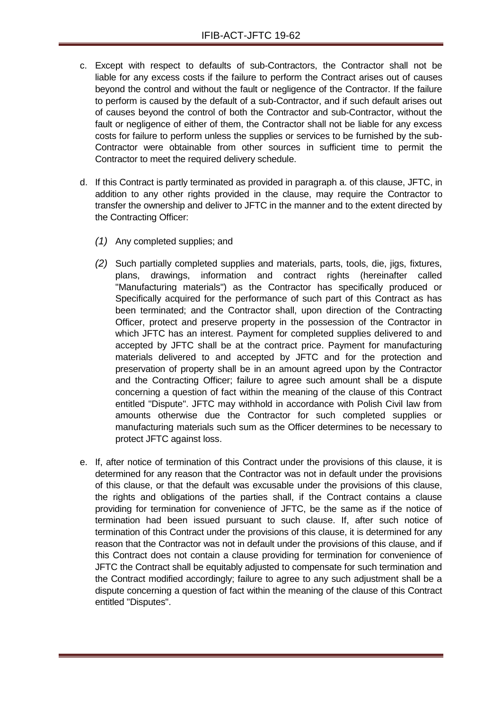- c. Except with respect to defaults of sub-Contractors, the Contractor shall not be liable for any excess costs if the failure to perform the Contract arises out of causes beyond the control and without the fault or negligence of the Contractor. If the failure to perform is caused by the default of a sub-Contractor, and if such default arises out of causes beyond the control of both the Contractor and sub-Contractor, without the fault or negligence of either of them, the Contractor shall not be liable for any excess costs for failure to perform unless the supplies or services to be furnished by the sub-Contractor were obtainable from other sources in sufficient time to permit the Contractor to meet the required delivery schedule.
- d. If this Contract is partly terminated as provided in paragraph a. of this clause, JFTC, in addition to any other rights provided in the clause, may require the Contractor to transfer the ownership and deliver to JFTC in the manner and to the extent directed by the Contracting Officer:
	- *(1)* Any completed supplies; and
	- *(2)* Such partially completed supplies and materials, parts, tools, die, jigs, fixtures, plans, drawings, information and contract rights (hereinafter called "Manufacturing materials") as the Contractor has specifically produced or Specifically acquired for the performance of such part of this Contract as has been terminated; and the Contractor shall, upon direction of the Contracting Officer, protect and preserve property in the possession of the Contractor in which JFTC has an interest. Payment for completed supplies delivered to and accepted by JFTC shall be at the contract price. Payment for manufacturing materials delivered to and accepted by JFTC and for the protection and preservation of property shall be in an amount agreed upon by the Contractor and the Contracting Officer; failure to agree such amount shall be a dispute concerning a question of fact within the meaning of the clause of this Contract entitled "Dispute". JFTC may withhold in accordance with Polish Civil law from amounts otherwise due the Contractor for such completed supplies or manufacturing materials such sum as the Officer determines to be necessary to protect JFTC against loss.
- e. If, after notice of termination of this Contract under the provisions of this clause, it is determined for any reason that the Contractor was not in default under the provisions of this clause, or that the default was excusable under the provisions of this clause, the rights and obligations of the parties shall, if the Contract contains a clause providing for termination for convenience of JFTC, be the same as if the notice of termination had been issued pursuant to such clause. If, after such notice of termination of this Contract under the provisions of this clause, it is determined for any reason that the Contractor was not in default under the provisions of this clause, and if this Contract does not contain a clause providing for termination for convenience of JFTC the Contract shall be equitably adjusted to compensate for such termination and the Contract modified accordingly; failure to agree to any such adjustment shall be a dispute concerning a question of fact within the meaning of the clause of this Contract entitled "Disputes".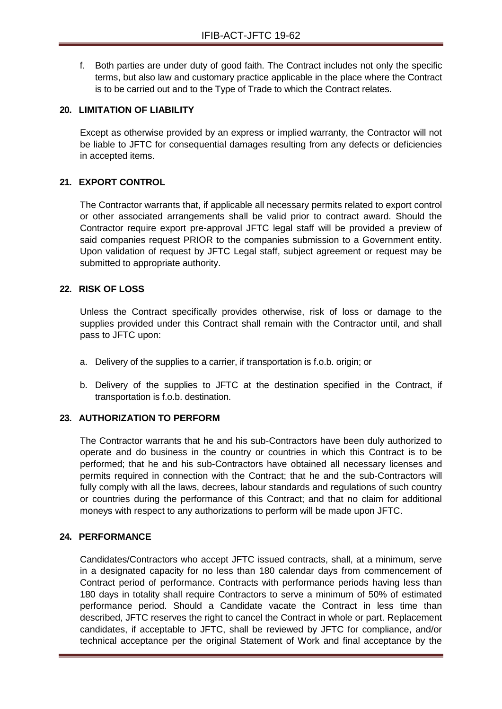f. Both parties are under duty of good faith. The Contract includes not only the specific terms, but also law and customary practice applicable in the place where the Contract is to be carried out and to the Type of Trade to which the Contract relates.

#### <span id="page-33-0"></span>**20. LIMITATION OF LIABILITY**

Except as otherwise provided by an express or implied warranty, the Contractor will not be liable to JFTC for consequential damages resulting from any defects or deficiencies in accepted items.

## <span id="page-33-1"></span>**21. EXPORT CONTROL**

The Contractor warrants that, if applicable all necessary permits related to export control or other associated arrangements shall be valid prior to contract award. Should the Contractor require export pre-approval JFTC legal staff will be provided a preview of said companies request PRIOR to the companies submission to a Government entity. Upon validation of request by JFTC Legal staff, subject agreement or request may be submitted to appropriate authority.

#### <span id="page-33-2"></span>**22. RISK OF LOSS**

Unless the Contract specifically provides otherwise, risk of loss or damage to the supplies provided under this Contract shall remain with the Contractor until, and shall pass to JFTC upon:

- a. Delivery of the supplies to a carrier, if transportation is f.o.b. origin; or
- b. Delivery of the supplies to JFTC at the destination specified in the Contract, if transportation is f.o.b. destination.

#### <span id="page-33-3"></span>**23. AUTHORIZATION TO PERFORM**

The Contractor warrants that he and his sub-Contractors have been duly authorized to operate and do business in the country or countries in which this Contract is to be performed; that he and his sub-Contractors have obtained all necessary licenses and permits required in connection with the Contract; that he and the sub-Contractors will fully comply with all the laws, decrees, labour standards and regulations of such country or countries during the performance of this Contract; and that no claim for additional moneys with respect to any authorizations to perform will be made upon JFTC.

#### <span id="page-33-4"></span>**24. PERFORMANCE**

Candidates/Contractors who accept JFTC issued contracts, shall, at a minimum, serve in a designated capacity for no less than 180 calendar days from commencement of Contract period of performance. Contracts with performance periods having less than 180 days in totality shall require Contractors to serve a minimum of 50% of estimated performance period. Should a Candidate vacate the Contract in less time than described, JFTC reserves the right to cancel the Contract in whole or part. Replacement candidates, if acceptable to JFTC, shall be reviewed by JFTC for compliance, and/or technical acceptance per the original Statement of Work and final acceptance by the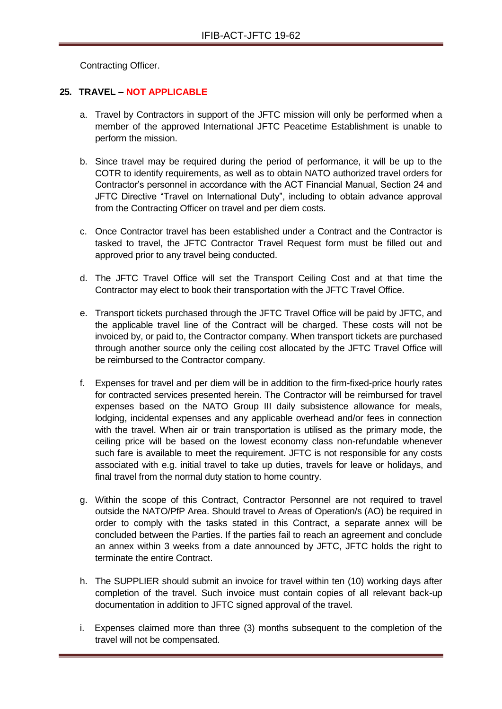Contracting Officer.

## <span id="page-34-0"></span>**25. TRAVEL – NOT APPLICABLE**

- a. Travel by Contractors in support of the JFTC mission will only be performed when a member of the approved International JFTC Peacetime Establishment is unable to perform the mission.
- b. Since travel may be required during the period of performance, it will be up to the COTR to identify requirements, as well as to obtain NATO authorized travel orders for Contractor's personnel in accordance with the ACT Financial Manual, Section 24 and JFTC Directive "Travel on International Duty", including to obtain advance approval from the Contracting Officer on travel and per diem costs.
- c. Once Contractor travel has been established under a Contract and the Contractor is tasked to travel, the JFTC Contractor Travel Request form must be filled out and approved prior to any travel being conducted.
- d. The JFTC Travel Office will set the Transport Ceiling Cost and at that time the Contractor may elect to book their transportation with the JFTC Travel Office.
- e. Transport tickets purchased through the JFTC Travel Office will be paid by JFTC, and the applicable travel line of the Contract will be charged. These costs will not be invoiced by, or paid to, the Contractor company. When transport tickets are purchased through another source only the ceiling cost allocated by the JFTC Travel Office will be reimbursed to the Contractor company.
- f. Expenses for travel and per diem will be in addition to the firm-fixed-price hourly rates for contracted services presented herein. The Contractor will be reimbursed for travel expenses based on the NATO Group III daily subsistence allowance for meals, lodging, incidental expenses and any applicable overhead and/or fees in connection with the travel. When air or train transportation is utilised as the primary mode, the ceiling price will be based on the lowest economy class non-refundable whenever such fare is available to meet the requirement. JFTC is not responsible for any costs associated with e.g. initial travel to take up duties, travels for leave or holidays, and final travel from the normal duty station to home country.
- g. Within the scope of this Contract, Contractor Personnel are not required to travel outside the NATO/PfP Area. Should travel to Areas of Operation/s (AO) be required in order to comply with the tasks stated in this Contract, a separate annex will be concluded between the Parties. If the parties fail to reach an agreement and conclude an annex within 3 weeks from a date announced by JFTC, JFTC holds the right to terminate the entire Contract.
- h. The SUPPLIER should submit an invoice for travel within ten (10) working days after completion of the travel. Such invoice must contain copies of all relevant back-up documentation in addition to JFTC signed approval of the travel.
- i. Expenses claimed more than three (3) months subsequent to the completion of the travel will not be compensated.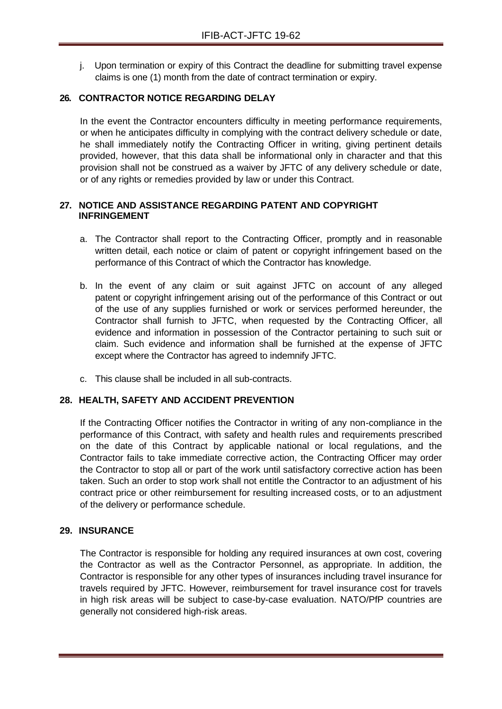j. Upon termination or expiry of this Contract the deadline for submitting travel expense claims is one (1) month from the date of contract termination or expiry.

## <span id="page-35-0"></span>**26. CONTRACTOR NOTICE REGARDING DELAY**

In the event the Contractor encounters difficulty in meeting performance requirements, or when he anticipates difficulty in complying with the contract delivery schedule or date, he shall immediately notify the Contracting Officer in writing, giving pertinent details provided, however, that this data shall be informational only in character and that this provision shall not be construed as a waiver by JFTC of any delivery schedule or date, or of any rights or remedies provided by law or under this Contract.

#### <span id="page-35-1"></span>**27. NOTICE AND ASSISTANCE REGARDING PATENT AND COPYRIGHT INFRINGEMENT**

- a. The Contractor shall report to the Contracting Officer, promptly and in reasonable written detail, each notice or claim of patent or copyright infringement based on the performance of this Contract of which the Contractor has knowledge.
- b. In the event of any claim or suit against JFTC on account of any alleged patent or copyright infringement arising out of the performance of this Contract or out of the use of any supplies furnished or work or services performed hereunder, the Contractor shall furnish to JFTC, when requested by the Contracting Officer, all evidence and information in possession of the Contractor pertaining to such suit or claim. Such evidence and information shall be furnished at the expense of JFTC except where the Contractor has agreed to indemnify JFTC.
- c. This clause shall be included in all sub-contracts.

#### <span id="page-35-2"></span>**28. HEALTH, SAFETY AND ACCIDENT PREVENTION**

If the Contracting Officer notifies the Contractor in writing of any non-compliance in the performance of this Contract, with safety and health rules and requirements prescribed on the date of this Contract by applicable national or local regulations, and the Contractor fails to take immediate corrective action, the Contracting Officer may order the Contractor to stop all or part of the work until satisfactory corrective action has been taken. Such an order to stop work shall not entitle the Contractor to an adjustment of his contract price or other reimbursement for resulting increased costs, or to an adjustment of the delivery or performance schedule.

#### <span id="page-35-3"></span>**29. INSURANCE**

The Contractor is responsible for holding any required insurances at own cost, covering the Contractor as well as the Contractor Personnel, as appropriate. In addition, the Contractor is responsible for any other types of insurances including travel insurance for travels required by JFTC. However, reimbursement for travel insurance cost for travels in high risk areas will be subject to case-by-case evaluation. NATO/PfP countries are generally not considered high-risk areas.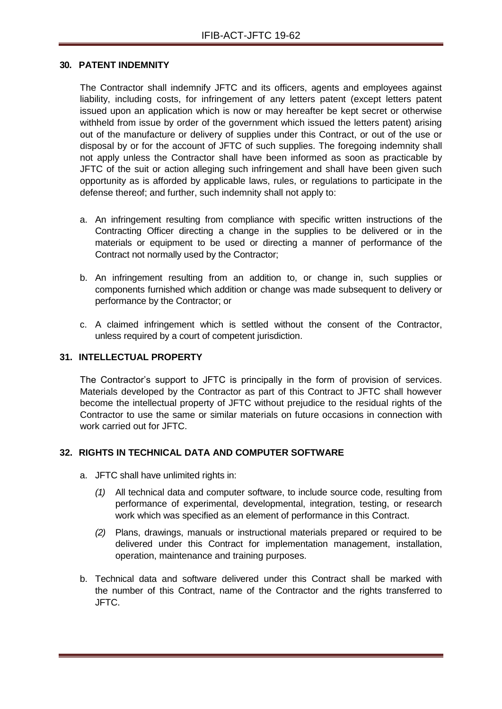#### <span id="page-36-0"></span>**30. PATENT INDEMNITY**

The Contractor shall indemnify JFTC and its officers, agents and employees against liability, including costs, for infringement of any letters patent (except letters patent issued upon an application which is now or may hereafter be kept secret or otherwise withheld from issue by order of the government which issued the letters patent) arising out of the manufacture or delivery of supplies under this Contract, or out of the use or disposal by or for the account of JFTC of such supplies. The foregoing indemnity shall not apply unless the Contractor shall have been informed as soon as practicable by JFTC of the suit or action alleging such infringement and shall have been given such opportunity as is afforded by applicable laws, rules, or regulations to participate in the defense thereof; and further, such indemnity shall not apply to:

- a. An infringement resulting from compliance with specific written instructions of the Contracting Officer directing a change in the supplies to be delivered or in the materials or equipment to be used or directing a manner of performance of the Contract not normally used by the Contractor;
- b. An infringement resulting from an addition to, or change in, such supplies or components furnished which addition or change was made subsequent to delivery or performance by the Contractor; or
- c. A claimed infringement which is settled without the consent of the Contractor, unless required by a court of competent jurisdiction.

#### <span id="page-36-1"></span>**31. INTELLECTUAL PROPERTY**

The Contractor's support to JFTC is principally in the form of provision of services. Materials developed by the Contractor as part of this Contract to JFTC shall however become the intellectual property of JFTC without prejudice to the residual rights of the Contractor to use the same or similar materials on future occasions in connection with work carried out for JFTC.

#### <span id="page-36-2"></span>**32. RIGHTS IN TECHNICAL DATA AND COMPUTER SOFTWARE**

- a. JFTC shall have unlimited rights in:
	- *(1)* All technical data and computer software, to include source code, resulting from performance of experimental, developmental, integration, testing, or research work which was specified as an element of performance in this Contract.
	- *(2)* Plans, drawings, manuals or instructional materials prepared or required to be delivered under this Contract for implementation management, installation, operation, maintenance and training purposes.
- b. Technical data and software delivered under this Contract shall be marked with the number of this Contract, name of the Contractor and the rights transferred to JFTC.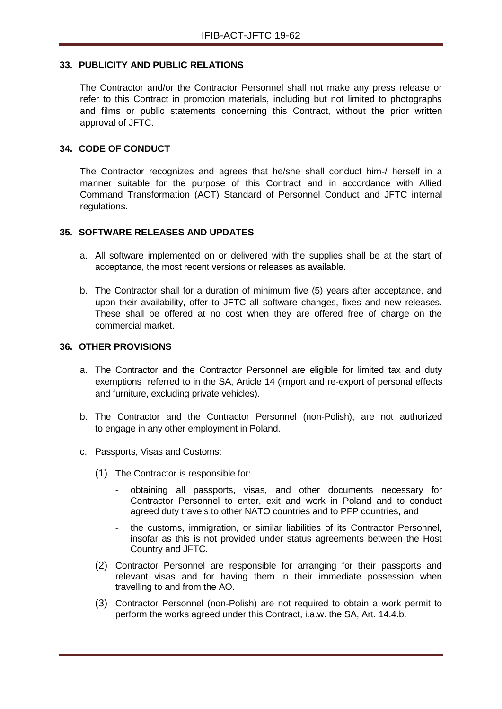#### <span id="page-37-0"></span>**33. PUBLICITY AND PUBLIC RELATIONS**

The Contractor and/or the Contractor Personnel shall not make any press release or refer to this Contract in promotion materials, including but not limited to photographs and films or public statements concerning this Contract, without the prior written approval of JFTC.

#### <span id="page-37-1"></span>**34. CODE OF CONDUCT**

The Contractor recognizes and agrees that he/she shall conduct him-/ herself in a manner suitable for the purpose of this Contract and in accordance with Allied Command Transformation (ACT) Standard of Personnel Conduct and JFTC internal regulations.

#### <span id="page-37-2"></span>**35. SOFTWARE RELEASES AND UPDATES**

- a. All software implemented on or delivered with the supplies shall be at the start of acceptance, the most recent versions or releases as available.
- b. The Contractor shall for a duration of minimum five (5) years after acceptance, and upon their availability, offer to JFTC all software changes, fixes and new releases. These shall be offered at no cost when they are offered free of charge on the commercial market.

#### <span id="page-37-3"></span>**36. OTHER PROVISIONS**

- a. The Contractor and the Contractor Personnel are eligible for limited tax and duty exemptions referred to in the SA, Article 14 (import and re-export of personal effects and furniture, excluding private vehicles).
- b. The Contractor and the Contractor Personnel (non-Polish), are not authorized to engage in any other employment in Poland.
- c. Passports, Visas and Customs:
	- (1) The Contractor is responsible for:
		- obtaining all passports, visas, and other documents necessary for Contractor Personnel to enter, exit and work in Poland and to conduct agreed duty travels to other NATO countries and to PFP countries, and
		- the customs, immigration, or similar liabilities of its Contractor Personnel, insofar as this is not provided under status agreements between the Host Country and JFTC.
	- (2) Contractor Personnel are responsible for arranging for their passports and relevant visas and for having them in their immediate possession when travelling to and from the AO.
	- (3) Contractor Personnel (non-Polish) are not required to obtain a work permit to perform the works agreed under this Contract, i.a.w. the SA, Art. 14.4.b.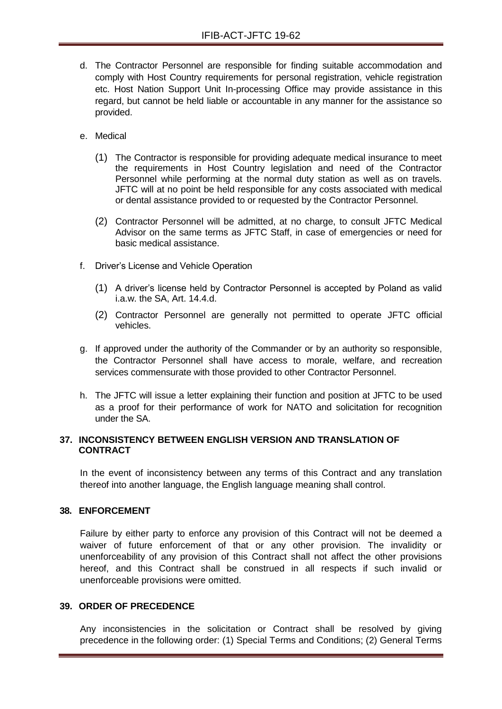- d. The Contractor Personnel are responsible for finding suitable accommodation and comply with Host Country requirements for personal registration, vehicle registration etc. Host Nation Support Unit In-processing Office may provide assistance in this regard, but cannot be held liable or accountable in any manner for the assistance so provided.
- e. Medical
	- (1) The Contractor is responsible for providing adequate medical insurance to meet the requirements in Host Country legislation and need of the Contractor Personnel while performing at the normal duty station as well as on travels. JFTC will at no point be held responsible for any costs associated with medical or dental assistance provided to or requested by the Contractor Personnel.
	- (2) Contractor Personnel will be admitted, at no charge, to consult JFTC Medical Advisor on the same terms as JFTC Staff, in case of emergencies or need for basic medical assistance.
- f. Driver's License and Vehicle Operation
	- (1) A driver's license held by Contractor Personnel is accepted by Poland as valid i.a.w. the SA, Art. 14.4.d.
	- (2) Contractor Personnel are generally not permitted to operate JFTC official vehicles.
- g. If approved under the authority of the Commander or by an authority so responsible, the Contractor Personnel shall have access to morale, welfare, and recreation services commensurate with those provided to other Contractor Personnel.
- h. The JFTC will issue a letter explaining their function and position at JFTC to be used as a proof for their performance of work for NATO and solicitation for recognition under the SA.

#### <span id="page-38-0"></span>**37. INCONSISTENCY BETWEEN ENGLISH VERSION AND TRANSLATION OF CONTRACT**

In the event of inconsistency between any terms of this Contract and any translation thereof into another language, the English language meaning shall control.

## <span id="page-38-1"></span>**38. ENFORCEMENT**

Failure by either party to enforce any provision of this Contract will not be deemed a waiver of future enforcement of that or any other provision. The invalidity or unenforceability of any provision of this Contract shall not affect the other provisions hereof, and this Contract shall be construed in all respects if such invalid or unenforceable provisions were omitted.

#### <span id="page-38-2"></span>**39. ORDER OF PRECEDENCE**

Any inconsistencies in the solicitation or Contract shall be resolved by giving precedence in the following order: (1) Special Terms and Conditions; (2) General Terms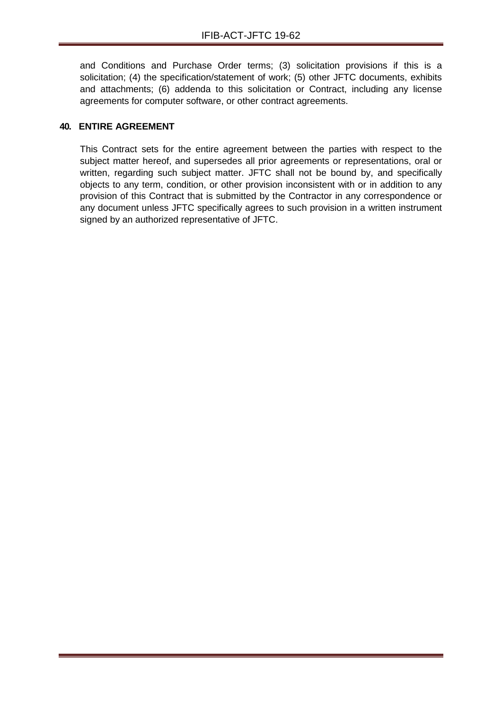and Conditions and Purchase Order terms; (3) solicitation provisions if this is a solicitation; (4) the specification/statement of work; (5) other JFTC documents, exhibits and attachments; (6) addenda to this solicitation or Contract, including any license agreements for computer software, or other contract agreements.

## <span id="page-39-0"></span>**40. ENTIRE AGREEMENT**

This Contract sets for the entire agreement between the parties with respect to the subject matter hereof, and supersedes all prior agreements or representations, oral or written, regarding such subject matter. JFTC shall not be bound by, and specifically objects to any term, condition, or other provision inconsistent with or in addition to any provision of this Contract that is submitted by the Contractor in any correspondence or any document unless JFTC specifically agrees to such provision in a written instrument signed by an authorized representative of JFTC.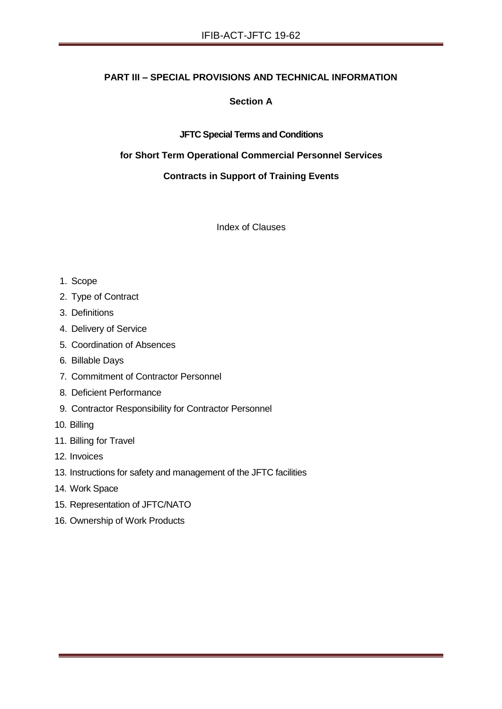## **PART III – SPECIAL PROVISIONS AND TECHNICAL INFORMATION**

## **Section A**

#### **JFTC Special Terms and Conditions**

#### **for Short Term Operational Commercial Personnel Services**

## **Contracts in Support of Training Events**

Index of Clauses

#### 1. Scope

- 2. Type of Contract
- 3. Definitions
- 4. Delivery of Service
- 5. Coordination of Absences
- 6. Billable Days
- 7. Commitment of Contractor Personnel
- 8. Deficient Performance
- 9. Contractor Responsibility for Contractor Personnel
- 10. Billing
- 11. Billing for Travel
- 12. Invoices
- 13. Instructions for safety and management of the JFTC facilities
- 14. Work Space
- 15. Representation of JFTC/NATO
- 16. Ownership of Work Products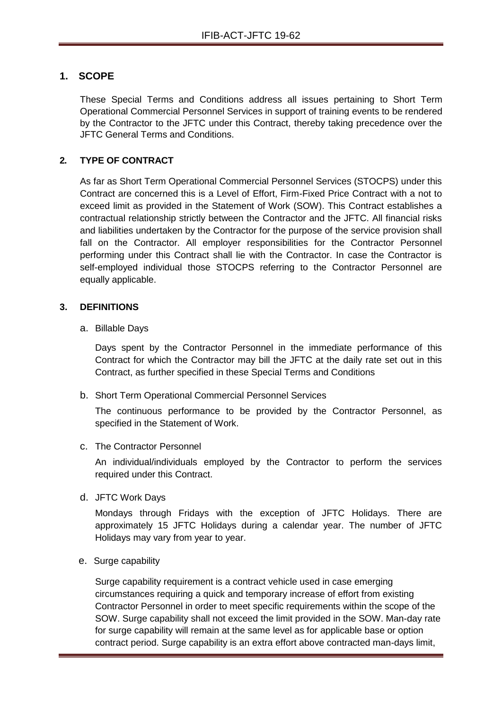## **1. SCOPE**

These Special Terms and Conditions address all issues pertaining to Short Term Operational Commercial Personnel Services in support of training events to be rendered by the Contractor to the JFTC under this Contract, thereby taking precedence over the JFTC General Terms and Conditions.

## **2. TYPE OF CONTRACT**

As far as Short Term Operational Commercial Personnel Services (STOCPS) under this Contract are concerned this is a Level of Effort, Firm-Fixed Price Contract with a not to exceed limit as provided in the Statement of Work (SOW). This Contract establishes a contractual relationship strictly between the Contractor and the JFTC. All financial risks and liabilities undertaken by the Contractor for the purpose of the service provision shall fall on the Contractor. All employer responsibilities for the Contractor Personnel performing under this Contract shall lie with the Contractor. In case the Contractor is self-employed individual those STOCPS referring to the Contractor Personnel are equally applicable.

#### **3. DEFINITIONS**

a. Billable Days

Days spent by the Contractor Personnel in the immediate performance of this Contract for which the Contractor may bill the JFTC at the daily rate set out in this Contract, as further specified in these Special Terms and Conditions

b. Short Term Operational Commercial Personnel Services

The continuous performance to be provided by the Contractor Personnel, as specified in the Statement of Work.

c. The Contractor Personnel

An individual/individuals employed by the Contractor to perform the services required under this Contract.

d. JFTC Work Days

Mondays through Fridays with the exception of JFTC Holidays. There are approximately 15 JFTC Holidays during a calendar year. The number of JFTC Holidays may vary from year to year.

e. Surge capability

Surge capability requirement is a contract vehicle used in case emerging circumstances requiring a quick and temporary increase of effort from existing Contractor Personnel in order to meet specific requirements within the scope of the SOW. Surge capability shall not exceed the limit provided in the SOW. Man-day rate for surge capability will remain at the same level as for applicable base or option contract period. Surge capability is an extra effort above contracted man-days limit,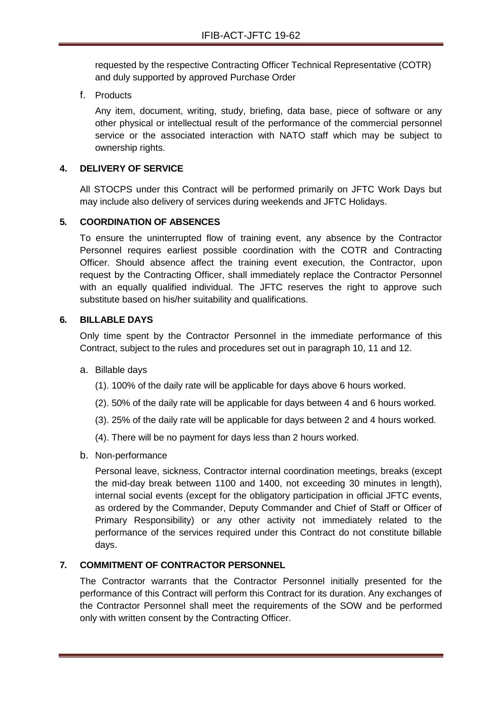requested by the respective Contracting Officer Technical Representative (COTR) and duly supported by approved Purchase Order

f. Products

Any item, document, writing, study, briefing, data base, piece of software or any other physical or intellectual result of the performance of the commercial personnel service or the associated interaction with NATO staff which may be subject to ownership rights.

## **4. DELIVERY OF SERVICE**

All STOCPS under this Contract will be performed primarily on JFTC Work Days but may include also delivery of services during weekends and JFTC Holidays.

## **5. COORDINATION OF ABSENCES**

To ensure the uninterrupted flow of training event, any absence by the Contractor Personnel requires earliest possible coordination with the COTR and Contracting Officer. Should absence affect the training event execution, the Contractor, upon request by the Contracting Officer, shall immediately replace the Contractor Personnel with an equally qualified individual. The JFTC reserves the right to approve such substitute based on his/her suitability and qualifications.

#### **6. BILLABLE DAYS**

Only time spent by the Contractor Personnel in the immediate performance of this Contract, subject to the rules and procedures set out in paragraph 10, 11 and 12.

- a. Billable days
	- (1). 100% of the daily rate will be applicable for days above 6 hours worked.
	- (2). 50% of the daily rate will be applicable for days between 4 and 6 hours worked.
	- (3). 25% of the daily rate will be applicable for days between 2 and 4 hours worked.
	- (4). There will be no payment for days less than 2 hours worked.
- b. Non-performance

Personal leave, sickness, Contractor internal coordination meetings, breaks (except the mid-day break between 1100 and 1400, not exceeding 30 minutes in length), internal social events (except for the obligatory participation in official JFTC events, as ordered by the Commander, Deputy Commander and Chief of Staff or Officer of Primary Responsibility) or any other activity not immediately related to the performance of the services required under this Contract do not constitute billable days.

#### **7. COMMITMENT OF CONTRACTOR PERSONNEL**

The Contractor warrants that the Contractor Personnel initially presented for the performance of this Contract will perform this Contract for its duration. Any exchanges of the Contractor Personnel shall meet the requirements of the SOW and be performed only with written consent by the Contracting Officer.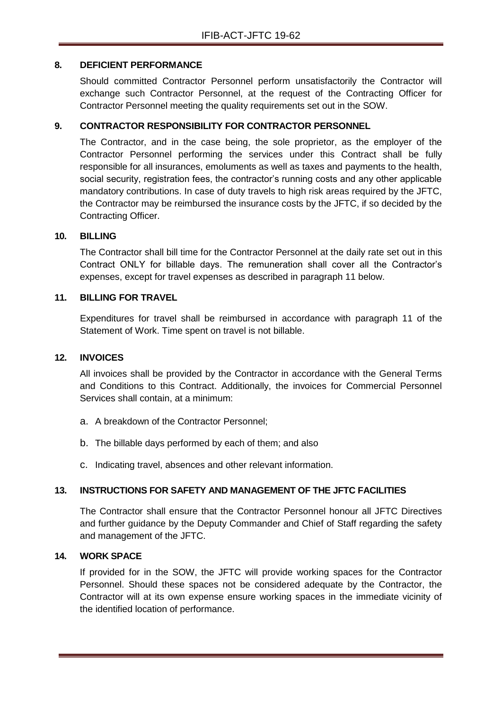#### **8. DEFICIENT PERFORMANCE**

Should committed Contractor Personnel perform unsatisfactorily the Contractor will exchange such Contractor Personnel, at the request of the Contracting Officer for Contractor Personnel meeting the quality requirements set out in the SOW.

## **9. CONTRACTOR RESPONSIBILITY FOR CONTRACTOR PERSONNEL**

The Contractor, and in the case being, the sole proprietor, as the employer of the Contractor Personnel performing the services under this Contract shall be fully responsible for all insurances, emoluments as well as taxes and payments to the health, social security, registration fees, the contractor's running costs and any other applicable mandatory contributions. In case of duty travels to high risk areas required by the JFTC, the Contractor may be reimbursed the insurance costs by the JFTC, if so decided by the Contracting Officer.

#### **10. BILLING**

The Contractor shall bill time for the Contractor Personnel at the daily rate set out in this Contract ONLY for billable days. The remuneration shall cover all the Contractor's expenses, except for travel expenses as described in paragraph 11 below.

#### **11. BILLING FOR TRAVEL**

Expenditures for travel shall be reimbursed in accordance with paragraph 11 of the Statement of Work. Time spent on travel is not billable.

#### **12. INVOICES**

All invoices shall be provided by the Contractor in accordance with the General Terms and Conditions to this Contract. Additionally, the invoices for Commercial Personnel Services shall contain, at a minimum:

- a. A breakdown of the Contractor Personnel;
- b. The billable days performed by each of them; and also
- c. Indicating travel, absences and other relevant information.

## **13. INSTRUCTIONS FOR SAFETY AND MANAGEMENT OF THE JFTC FACILITIES**

The Contractor shall ensure that the Contractor Personnel honour all JFTC Directives and further guidance by the Deputy Commander and Chief of Staff regarding the safety and management of the JFTC.

#### **14. WORK SPACE**

If provided for in the SOW, the JFTC will provide working spaces for the Contractor Personnel. Should these spaces not be considered adequate by the Contractor, the Contractor will at its own expense ensure working spaces in the immediate vicinity of the identified location of performance.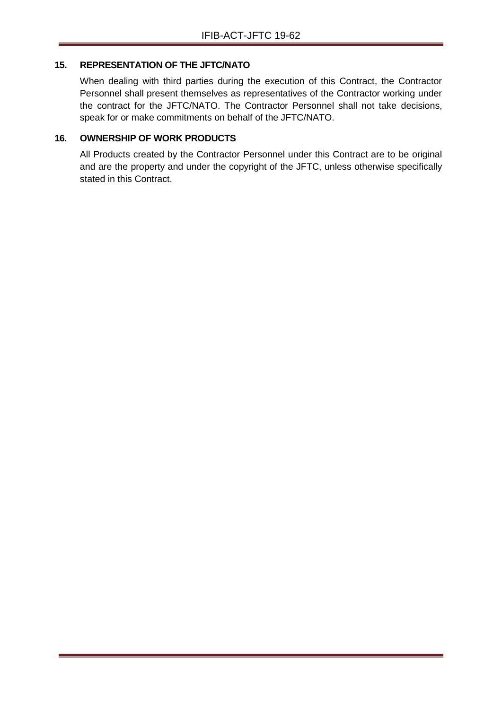#### **15. REPRESENTATION OF THE JFTC/NATO**

When dealing with third parties during the execution of this Contract, the Contractor Personnel shall present themselves as representatives of the Contractor working under the contract for the JFTC/NATO. The Contractor Personnel shall not take decisions, speak for or make commitments on behalf of the JFTC/NATO.

## **16. OWNERSHIP OF WORK PRODUCTS**

All Products created by the Contractor Personnel under this Contract are to be original and are the property and under the copyright of the JFTC, unless otherwise specifically stated in this Contract.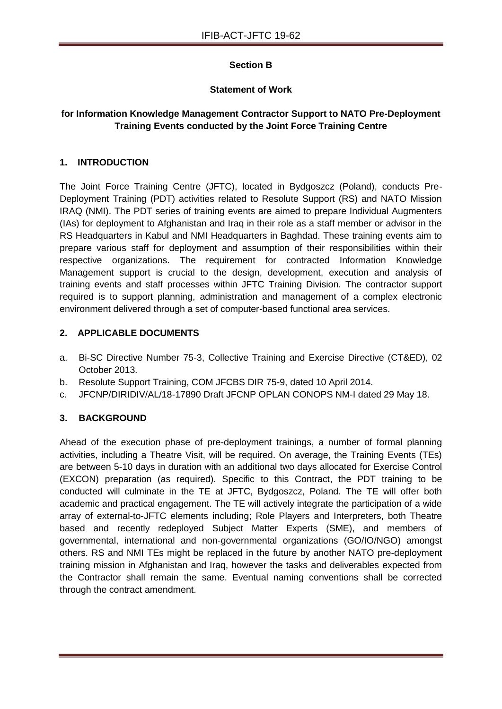## **Section B**

## **Statement of Work**

## **for Information Knowledge Management Contractor Support to NATO Pre-Deployment Training Events conducted by the Joint Force Training Centre**

## **1. INTRODUCTION**

The Joint Force Training Centre (JFTC), located in Bydgoszcz (Poland), conducts Pre-Deployment Training (PDT) activities related to Resolute Support (RS) and NATO Mission IRAQ (NMI). The PDT series of training events are aimed to prepare Individual Augmenters (IAs) for deployment to Afghanistan and Iraq in their role as a staff member or advisor in the RS Headquarters in Kabul and NMI Headquarters in Baghdad. These training events aim to prepare various staff for deployment and assumption of their responsibilities within their respective organizations. The requirement for contracted Information Knowledge Management support is crucial to the design, development, execution and analysis of training events and staff processes within JFTC Training Division. The contractor support required is to support planning, administration and management of a complex electronic environment delivered through a set of computer-based functional area services.

## **2. APPLICABLE DOCUMENTS**

- a. Bi-SC Directive Number 75-3, Collective Training and Exercise Directive (CT&ED), 02 October 2013.
- b. Resolute Support Training, COM JFCBS DIR 75-9, dated 10 April 2014.
- c. JFCNP/DIRIDIV/AL/18-17890 Draft JFCNP OPLAN CONOPS NM-I dated 29 May 18.

## **3. BACKGROUND**

Ahead of the execution phase of pre-deployment trainings, a number of formal planning activities, including a Theatre Visit, will be required. On average, the Training Events (TEs) are between 5-10 days in duration with an additional two days allocated for Exercise Control (EXCON) preparation (as required). Specific to this Contract, the PDT training to be conducted will culminate in the TE at JFTC, Bydgoszcz, Poland. The TE will offer both academic and practical engagement. The TE will actively integrate the participation of a wide array of external-to-JFTC elements including; Role Players and Interpreters, both Theatre based and recently redeployed Subject Matter Experts (SME), and members of governmental, international and non-governmental organizations (GO/IO/NGO) amongst others. RS and NMI TEs might be replaced in the future by another NATO pre-deployment training mission in Afghanistan and Iraq, however the tasks and deliverables expected from the Contractor shall remain the same. Eventual naming conventions shall be corrected through the contract amendment.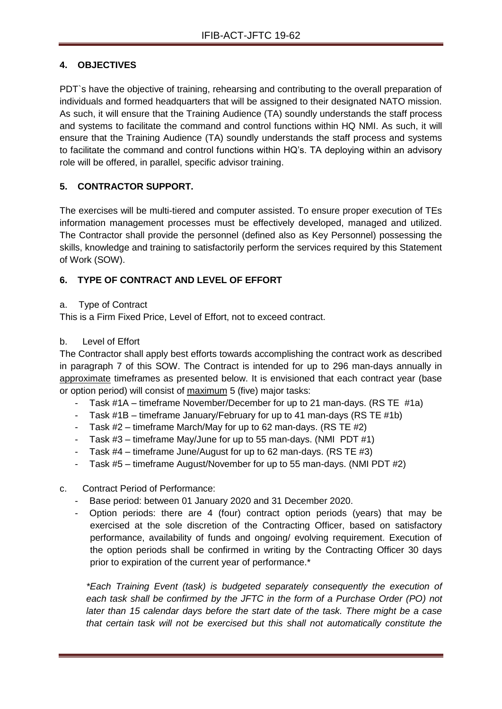## **4. OBJECTIVES**

PDT`s have the objective of training, rehearsing and contributing to the overall preparation of individuals and formed headquarters that will be assigned to their designated NATO mission. As such, it will ensure that the Training Audience (TA) soundly understands the staff process and systems to facilitate the command and control functions within HQ NMI. As such, it will ensure that the Training Audience (TA) soundly understands the staff process and systems to facilitate the command and control functions within HQ's. TA deploying within an advisory role will be offered, in parallel, specific advisor training.

## **5. CONTRACTOR SUPPORT.**

The exercises will be multi-tiered and computer assisted. To ensure proper execution of TEs information management processes must be effectively developed, managed and utilized. The Contractor shall provide the personnel (defined also as Key Personnel) possessing the skills, knowledge and training to satisfactorily perform the services required by this Statement of Work (SOW).

## **6. TYPE OF CONTRACT AND LEVEL OF EFFORT**

## a. Type of Contract

This is a Firm Fixed Price, Level of Effort, not to exceed contract.

## b. Level of Effort

The Contractor shall apply best efforts towards accomplishing the contract work as described in paragraph 7 of this SOW. The Contract is intended for up to 296 man-days annually in approximate timeframes as presented below. It is envisioned that each contract year (base or option period) will consist of maximum 5 (five) major tasks:

- Task #1A timeframe November/December for up to 21 man-days. (RS TE #1a)
- Task #1B timeframe January/February for up to 41 man-days (RS TE #1b)
- Task #2 timeframe March/May for up to 62 man-days. (RS TE #2)
- Task #3 timeframe May/June for up to 55 man-days. (NMI PDT #1)
- Task #4 timeframe June/August for up to 62 man-days. (RS TE #3)
- Task #5 timeframe August/November for up to 55 man-days. (NMI PDT #2)

## c. Contract Period of Performance:

- Base period: between 01 January 2020 and 31 December 2020.
- Option periods: there are 4 (four) contract option periods (years) that may be exercised at the sole discretion of the Contracting Officer, based on satisfactory performance, availability of funds and ongoing/ evolving requirement. Execution of the option periods shall be confirmed in writing by the Contracting Officer 30 days prior to expiration of the current year of performance.\*

*\*Each Training Event (task) is budgeted separately consequently the execution of each task shall be confirmed by the JFTC in the form of a Purchase Order (PO) not later than 15 calendar days before the start date of the task. There might be a case that certain task will not be exercised but this shall not automatically constitute the*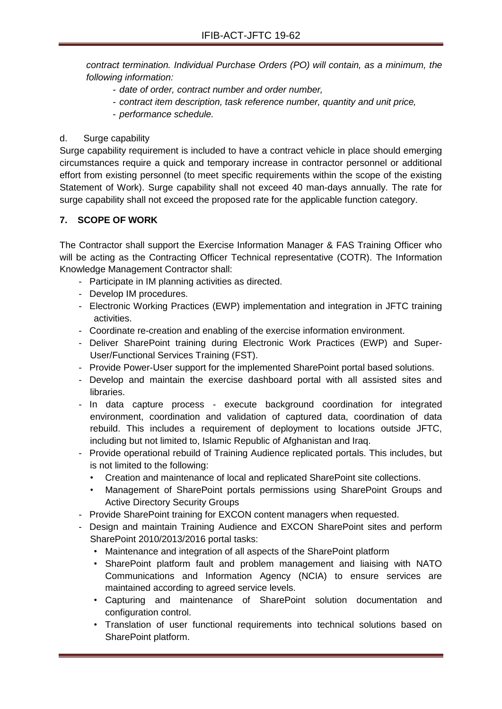*contract termination. Individual Purchase Orders (PO) will contain, as a minimum, the following information:*

- *date of order, contract number and order number,*
- *contract item description, task reference number, quantity and unit price,*
- *performance schedule.*

#### d. Surge capability

Surge capability requirement is included to have a contract vehicle in place should emerging circumstances require a quick and temporary increase in contractor personnel or additional effort from existing personnel (to meet specific requirements within the scope of the existing Statement of Work). Surge capability shall not exceed 40 man-days annually. The rate for surge capability shall not exceed the proposed rate for the applicable function category.

## **7. SCOPE OF WORK**

The Contractor shall support the Exercise Information Manager & FAS Training Officer who will be acting as the Contracting Officer Technical representative (COTR). The Information Knowledge Management Contractor shall:

- Participate in IM planning activities as directed.
- Develop IM procedures.
- Electronic Working Practices (EWP) implementation and integration in JFTC training activities.
- Coordinate re-creation and enabling of the exercise information environment.
- Deliver SharePoint training during Electronic Work Practices (EWP) and Super-User/Functional Services Training (FST).
- Provide Power-User support for the implemented SharePoint portal based solutions.
- Develop and maintain the exercise dashboard portal with all assisted sites and libraries.
- In data capture process execute background coordination for integrated environment, coordination and validation of captured data, coordination of data rebuild. This includes a requirement of deployment to locations outside JFTC, including but not limited to, Islamic Republic of Afghanistan and Iraq.
- Provide operational rebuild of Training Audience replicated portals. This includes, but is not limited to the following:
	- Creation and maintenance of local and replicated SharePoint site collections.
	- Management of SharePoint portals permissions using SharePoint Groups and Active Directory Security Groups
- Provide SharePoint training for EXCON content managers when requested.
- Design and maintain Training Audience and EXCON SharePoint sites and perform SharePoint 2010/2013/2016 portal tasks:
	- Maintenance and integration of all aspects of the SharePoint platform
	- SharePoint platform fault and problem management and liaising with NATO Communications and Information Agency (NCIA) to ensure services are maintained according to agreed service levels.
	- Capturing and maintenance of SharePoint solution documentation and configuration control.
	- Translation of user functional requirements into technical solutions based on SharePoint platform.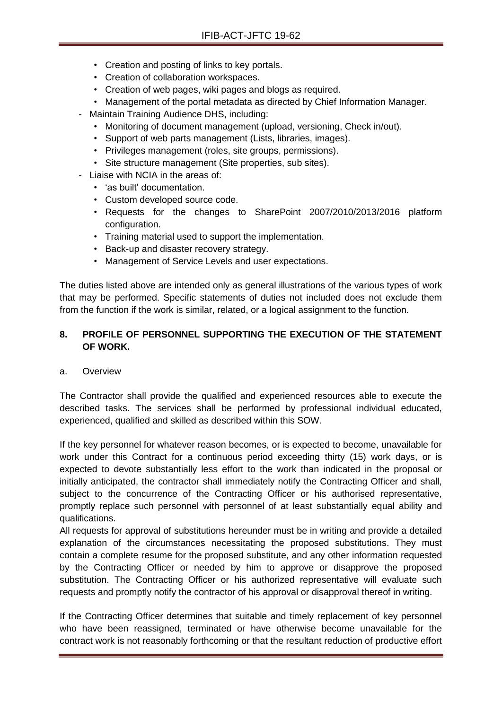- Creation and posting of links to key portals.
- Creation of collaboration workspaces.
- Creation of web pages, wiki pages and blogs as required.
- Management of the portal metadata as directed by Chief Information Manager.
- Maintain Training Audience DHS, including:
	- Monitoring of document management (upload, versioning, Check in/out).
	- Support of web parts management (Lists, libraries, images).
	- Privileges management (roles, site groups, permissions).
	- Site structure management (Site properties, sub sites).
- Liaise with NCIA in the areas of:
	- 'as built' documentation.
	- Custom developed source code.
	- Requests for the changes to SharePoint 2007/2010/2013/2016 platform configuration.
	- Training material used to support the implementation.
	- Back-up and disaster recovery strategy.
	- Management of Service Levels and user expectations.

The duties listed above are intended only as general illustrations of the various types of work that may be performed. Specific statements of duties not included does not exclude them from the function if the work is similar, related, or a logical assignment to the function.

## **8. PROFILE OF PERSONNEL SUPPORTING THE EXECUTION OF THE STATEMENT OF WORK.**

a. Overview

The Contractor shall provide the qualified and experienced resources able to execute the described tasks. The services shall be performed by professional individual educated, experienced, qualified and skilled as described within this SOW.

If the key personnel for whatever reason becomes, or is expected to become, unavailable for work under this Contract for a continuous period exceeding thirty (15) work days, or is expected to devote substantially less effort to the work than indicated in the proposal or initially anticipated, the contractor shall immediately notify the Contracting Officer and shall, subject to the concurrence of the Contracting Officer or his authorised representative, promptly replace such personnel with personnel of at least substantially equal ability and qualifications.

All requests for approval of substitutions hereunder must be in writing and provide a detailed explanation of the circumstances necessitating the proposed substitutions. They must contain a complete resume for the proposed substitute, and any other information requested by the Contracting Officer or needed by him to approve or disapprove the proposed substitution. The Contracting Officer or his authorized representative will evaluate such requests and promptly notify the contractor of his approval or disapproval thereof in writing.

If the Contracting Officer determines that suitable and timely replacement of key personnel who have been reassigned, terminated or have otherwise become unavailable for the contract work is not reasonably forthcoming or that the resultant reduction of productive effort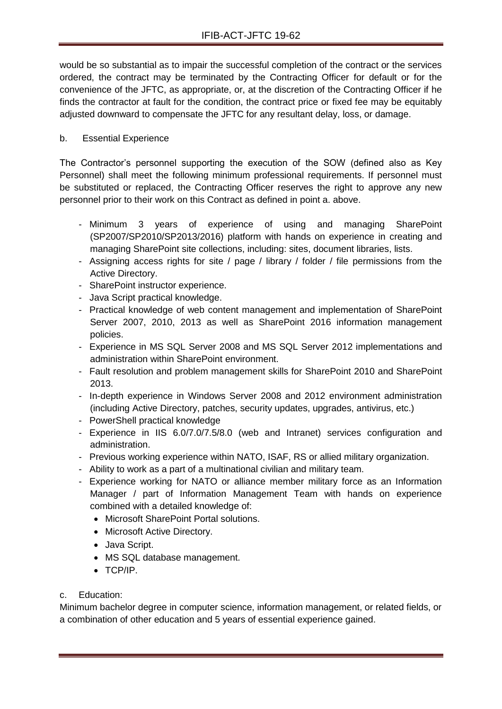would be so substantial as to impair the successful completion of the contract or the services ordered, the contract may be terminated by the Contracting Officer for default or for the convenience of the JFTC, as appropriate, or, at the discretion of the Contracting Officer if he finds the contractor at fault for the condition, the contract price or fixed fee may be equitably adjusted downward to compensate the JFTC for any resultant delay, loss, or damage.

## b. Essential Experience

The Contractor's personnel supporting the execution of the SOW (defined also as Key Personnel) shall meet the following minimum professional requirements. If personnel must be substituted or replaced, the Contracting Officer reserves the right to approve any new personnel prior to their work on this Contract as defined in point a. above.

- Minimum 3 years of experience of using and managing SharePoint (SP2007/SP2010/SP2013/2016) platform with hands on experience in creating and managing SharePoint site collections, including: sites, document libraries, lists.
- Assigning access rights for site / page / library / folder / file permissions from the Active Directory.
- SharePoint instructor experience.
- Java Script practical knowledge.
- Practical knowledge of web content management and implementation of SharePoint Server 2007, 2010, 2013 as well as SharePoint 2016 information management policies.
- Experience in MS SQL Server 2008 and MS SQL Server 2012 implementations and administration within SharePoint environment.
- Fault resolution and problem management skills for SharePoint 2010 and SharePoint 2013.
- In-depth experience in Windows Server 2008 and 2012 environment administration (including Active Directory, patches, security updates, upgrades, antivirus, etc.)
- PowerShell practical knowledge
- Experience in IIS 6.0/7.0/7.5/8.0 (web and Intranet) services configuration and administration.
- Previous working experience within NATO, ISAF, RS or allied military organization.
- Ability to work as a part of a multinational civilian and military team.
- Experience working for NATO or alliance member military force as an Information Manager / part of Information Management Team with hands on experience combined with a detailed knowledge of:
	- Microsoft SharePoint Portal solutions.
	- Microsoft Active Directory.
	- Java Script.
	- MS SQL database management.
	- $\bullet$  TCP/IP.

## c. Education:

Minimum bachelor degree in computer science, information management, or related fields, or a combination of other education and 5 years of essential experience gained.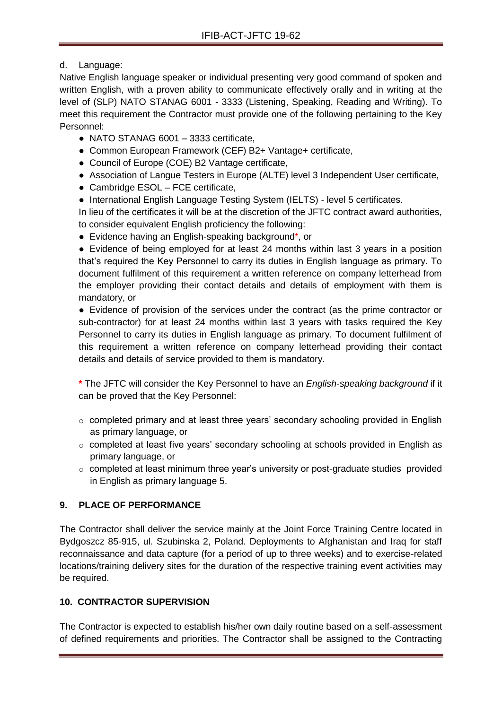## d. Language:

Native English language speaker or individual presenting very good command of spoken and written English, with a proven ability to communicate effectively orally and in writing at the level of (SLP) NATO STANAG 6001 - 3333 (Listening, Speaking, Reading and Writing). To meet this requirement the Contractor must provide one of the following pertaining to the Key Personnel:

- NATO STANAG 6001 3333 certificate,
- Common European Framework (CEF) B2+ Vantage+ certificate,
- Council of Europe (COE) B2 Vantage certificate,
- Association of Langue Testers in Europe (ALTE) level 3 Independent User certificate,
- Cambridge ESOL FCE certificate,
- International English Language Testing System (IELTS) level 5 certificates.

In lieu of the certificates it will be at the discretion of the JFTC contract award authorities, to consider equivalent English proficiency the following:

● Evidence having an English-speaking background<sup>\*</sup>, or

● Evidence of being employed for at least 24 months within last 3 years in a position that's required the Key Personnel to carry its duties in English language as primary. To document fulfilment of this requirement a written reference on company letterhead from the employer providing their contact details and details of employment with them is mandatory, or

● Evidence of provision of the services under the contract (as the prime contractor or sub-contractor) for at least 24 months within last 3 years with tasks required the Key Personnel to carry its duties in English language as primary. To document fulfilment of this requirement a written reference on company letterhead providing their contact details and details of service provided to them is mandatory.

**\*** The JFTC will consider the Key Personnel to have an *English-speaking background* if it can be proved that the Key Personnel:

- $\circ$  completed primary and at least three years' secondary schooling provided in English as primary language, or
- $\circ$  completed at least five years' secondary schooling at schools provided in English as primary language, or
- o completed at least minimum three year's university or post-graduate studies provided in English as primary language 5.

## **9. PLACE OF PERFORMANCE**

The Contractor shall deliver the service mainly at the Joint Force Training Centre located in Bydgoszcz 85-915, ul. Szubinska 2, Poland. Deployments to Afghanistan and Iraq for staff reconnaissance and data capture (for a period of up to three weeks) and to exercise-related locations/training delivery sites for the duration of the respective training event activities may be required.

## **10. CONTRACTOR SUPERVISION**

The Contractor is expected to establish his/her own daily routine based on a self-assessment of defined requirements and priorities. The Contractor shall be assigned to the Contracting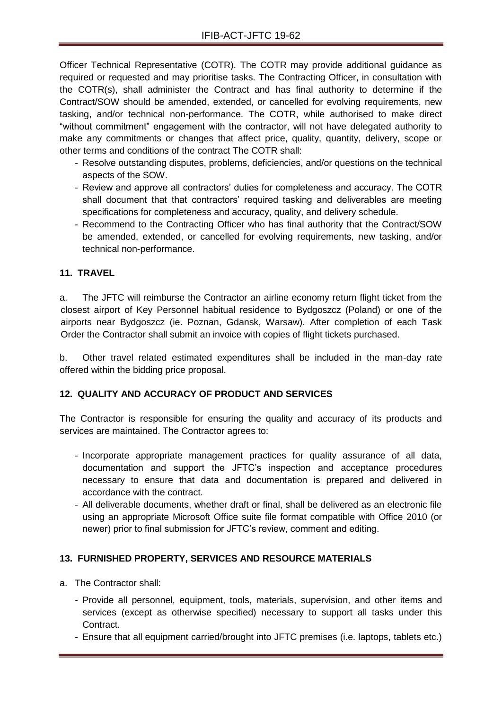Officer Technical Representative (COTR). The COTR may provide additional guidance as required or requested and may prioritise tasks. The Contracting Officer, in consultation with the COTR(s), shall administer the Contract and has final authority to determine if the Contract/SOW should be amended, extended, or cancelled for evolving requirements, new tasking, and/or technical non-performance. The COTR, while authorised to make direct "without commitment" engagement with the contractor, will not have delegated authority to make any commitments or changes that affect price, quality, quantity, delivery, scope or other terms and conditions of the contract The COTR shall:

- Resolve outstanding disputes, problems, deficiencies, and/or questions on the technical aspects of the SOW.
- Review and approve all contractors' duties for completeness and accuracy. The COTR shall document that that contractors' required tasking and deliverables are meeting specifications for completeness and accuracy, quality, and delivery schedule.
- Recommend to the Contracting Officer who has final authority that the Contract/SOW be amended, extended, or cancelled for evolving requirements, new tasking, and/or technical non-performance.

## **11. TRAVEL**

a. The JFTC will reimburse the Contractor an airline economy return flight ticket from the closest airport of Key Personnel habitual residence to Bydgoszcz (Poland) or one of the airports near Bydgoszcz (ie. Poznan, Gdansk, Warsaw). After completion of each Task Order the Contractor shall submit an invoice with copies of flight tickets purchased.

b. Other travel related estimated expenditures shall be included in the man-day rate offered within the bidding price proposal.

## **12. QUALITY AND ACCURACY OF PRODUCT AND SERVICES**

The Contractor is responsible for ensuring the quality and accuracy of its products and services are maintained. The Contractor agrees to:

- Incorporate appropriate management practices for quality assurance of all data, documentation and support the JFTC's inspection and acceptance procedures necessary to ensure that data and documentation is prepared and delivered in accordance with the contract.
- All deliverable documents, whether draft or final, shall be delivered as an electronic file using an appropriate Microsoft Office suite file format compatible with Office 2010 (or newer) prior to final submission for JFTC's review, comment and editing.

## **13. FURNISHED PROPERTY, SERVICES AND RESOURCE MATERIALS**

- a. The Contractor shall:
	- Provide all personnel, equipment, tools, materials, supervision, and other items and services (except as otherwise specified) necessary to support all tasks under this Contract.
	- Ensure that all equipment carried/brought into JFTC premises (i.e. laptops, tablets etc.)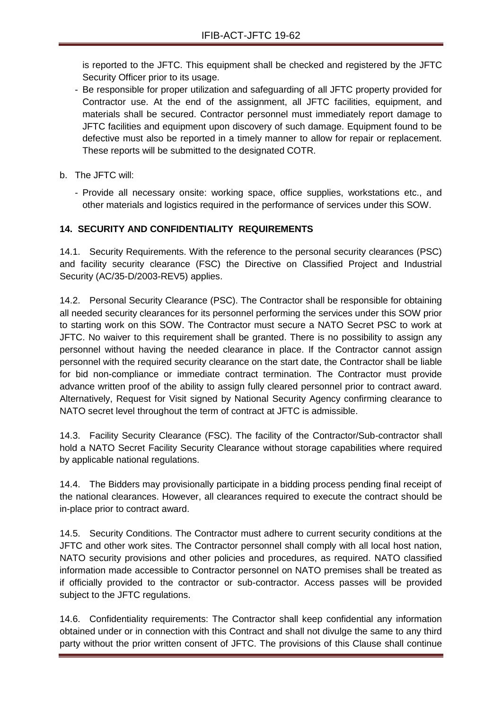is reported to the JFTC. This equipment shall be checked and registered by the JFTC Security Officer prior to its usage.

- Be responsible for proper utilization and safeguarding of all JFTC property provided for Contractor use. At the end of the assignment, all JFTC facilities, equipment, and materials shall be secured. Contractor personnel must immediately report damage to JFTC facilities and equipment upon discovery of such damage. Equipment found to be defective must also be reported in a timely manner to allow for repair or replacement. These reports will be submitted to the designated COTR.
- b. The JFTC will:
	- Provide all necessary onsite: working space, office supplies, workstations etc., and other materials and logistics required in the performance of services under this SOW.

## **14. SECURITY AND CONFIDENTIALITY REQUIREMENTS**

14.1. Security Requirements. With the reference to the personal security clearances (PSC) and facility security clearance (FSC) the Directive on Classified Project and Industrial Security (AC/35-D/2003-REV5) applies.

14.2. Personal Security Clearance (PSC). The Contractor shall be responsible for obtaining all needed security clearances for its personnel performing the services under this SOW prior to starting work on this SOW. The Contractor must secure a NATO Secret PSC to work at JFTC. No waiver to this requirement shall be granted. There is no possibility to assign any personnel without having the needed clearance in place. If the Contractor cannot assign personnel with the required security clearance on the start date, the Contractor shall be liable for bid non-compliance or immediate contract termination. The Contractor must provide advance written proof of the ability to assign fully cleared personnel prior to contract award. Alternatively, Request for Visit signed by National Security Agency confirming clearance to NATO secret level throughout the term of contract at JFTC is admissible.

14.3. Facility Security Clearance (FSC). The facility of the Contractor/Sub-contractor shall hold a NATO Secret Facility Security Clearance without storage capabilities where required by applicable national regulations.

14.4. The Bidders may provisionally participate in a bidding process pending final receipt of the national clearances. However, all clearances required to execute the contract should be in-place prior to contract award.

14.5. Security Conditions. The Contractor must adhere to current security conditions at the JFTC and other work sites. The Contractor personnel shall comply with all local host nation, NATO security provisions and other policies and procedures, as required. NATO classified information made accessible to Contractor personnel on NATO premises shall be treated as if officially provided to the contractor or sub-contractor. Access passes will be provided subject to the JFTC regulations.

14.6. Confidentiality requirements: The Contractor shall keep confidential any information obtained under or in connection with this Contract and shall not divulge the same to any third party without the prior written consent of JFTC. The provisions of this Clause shall continue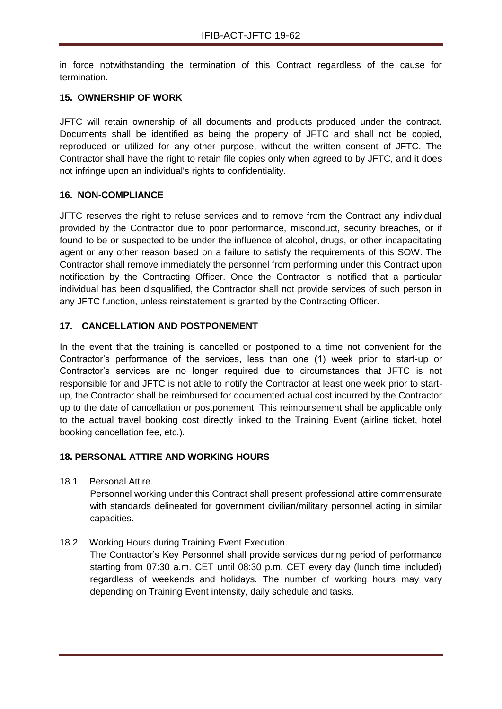in force notwithstanding the termination of this Contract regardless of the cause for termination.

## **15. OWNERSHIP OF WORK**

JFTC will retain ownership of all documents and products produced under the contract. Documents shall be identified as being the property of JFTC and shall not be copied, reproduced or utilized for any other purpose, without the written consent of JFTC. The Contractor shall have the right to retain file copies only when agreed to by JFTC, and it does not infringe upon an individual's rights to confidentiality.

#### **16. NON-COMPLIANCE**

JFTC reserves the right to refuse services and to remove from the Contract any individual provided by the Contractor due to poor performance, misconduct, security breaches, or if found to be or suspected to be under the influence of alcohol, drugs, or other incapacitating agent or any other reason based on a failure to satisfy the requirements of this SOW. The Contractor shall remove immediately the personnel from performing under this Contract upon notification by the Contracting Officer. Once the Contractor is notified that a particular individual has been disqualified, the Contractor shall not provide services of such person in any JFTC function, unless reinstatement is granted by the Contracting Officer.

#### **17. CANCELLATION AND POSTPONEMENT**

In the event that the training is cancelled or postponed to a time not convenient for the Contractor's performance of the services, less than one (1) week prior to start-up or Contractor's services are no longer required due to circumstances that JFTC is not responsible for and JFTC is not able to notify the Contractor at least one week prior to startup, the Contractor shall be reimbursed for documented actual cost incurred by the Contractor up to the date of cancellation or postponement. This reimbursement shall be applicable only to the actual travel booking cost directly linked to the Training Event (airline ticket, hotel booking cancellation fee, etc.).

## **18. PERSONAL ATTIRE AND WORKING HOURS**

18.1. Personal Attire.

Personnel working under this Contract shall present professional attire commensurate with standards delineated for government civilian/military personnel acting in similar capacities.

18.2. Working Hours during Training Event Execution.

The Contractor's Key Personnel shall provide services during period of performance starting from 07:30 a.m. CET until 08:30 p.m. CET every day (lunch time included) regardless of weekends and holidays. The number of working hours may vary depending on Training Event intensity, daily schedule and tasks.